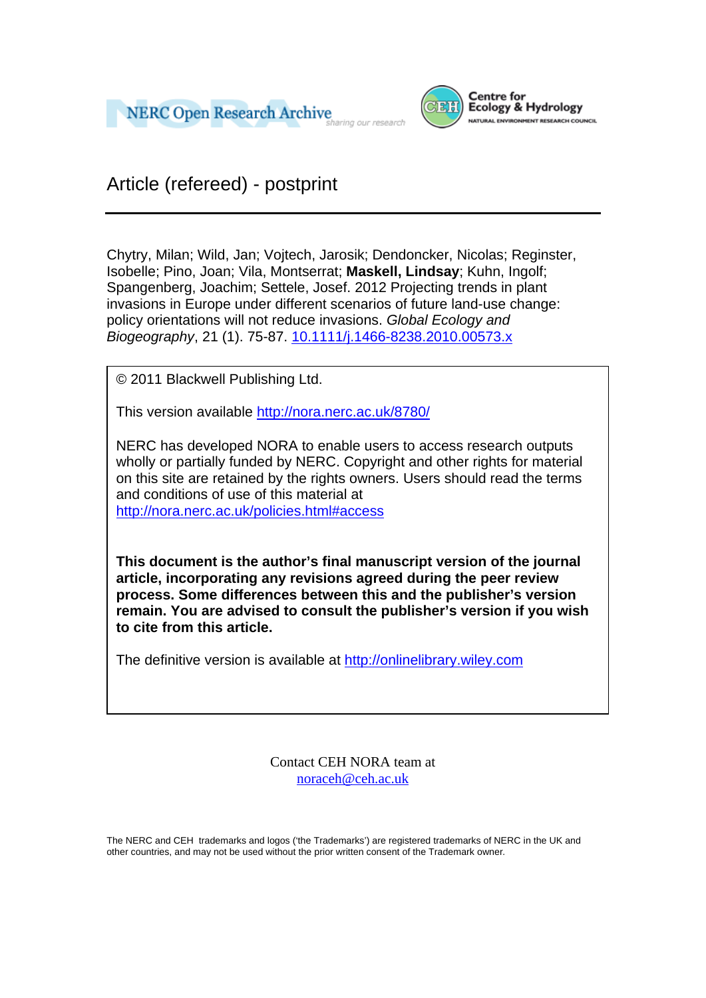



Article (refereed) - postprint

Chytry, Milan; Wild, Jan; Vojtech, Jarosik; Dendoncker, Nicolas; Reginster, Isobelle; Pino, Joan; Vila, Montserrat; **Maskell, Lindsay**; Kuhn, Ingolf; Spangenberg, Joachim; Settele, Josef. 2012 Projecting trends in plant invasions in Europe under different scenarios of future land-use change: policy orientations will not reduce invasions. *Global Ecology and Biogeography*, 21 (1). 75-87. 10.1111/j.1466-8238.2010.00573.x

© 2011 Blackwell Publishing Ltd.

This version available http://nora.nerc.ac.uk/8780/

NERC has developed NORA to enable users to access research outputs wholly or partially funded by NERC. Copyright and other rights for material on this site are retained by the rights owners. Users should read the terms and conditions of use of this material at

http://nora.nerc.ac.uk/policies.html#access

**This document is the author's final manuscript version of the journal article, incorporating any revisions agreed during the peer review process. Some differences between this and the publisher's version remain. You are advised to consult the publisher's version if you wish to cite from this article.** 

The definitive version is available at http://onlinelibrary.wiley.com

Contact CEH NORA team at noraceh@ceh.ac.uk

The NERC and CEH trademarks and logos ('the Trademarks') are registered trademarks of NERC in the UK and other countries, and may not be used without the prior written consent of the Trademark owner*.*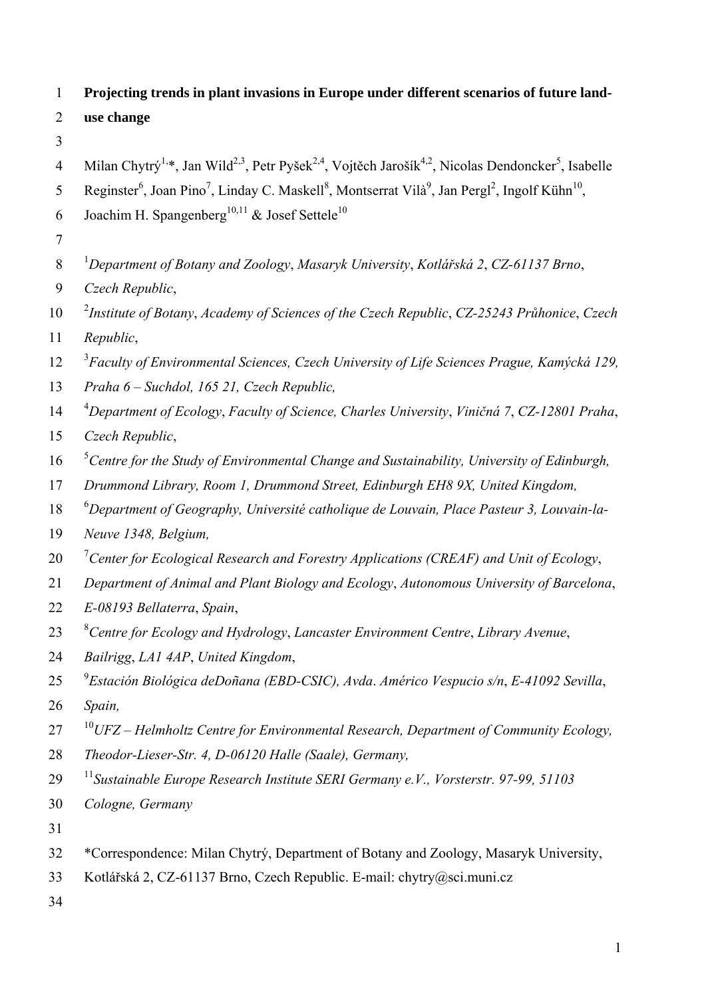| $\mathbf{1}$   | Projecting trends in plant invasions in Europe under different scenarios of future land-                                                                               |
|----------------|------------------------------------------------------------------------------------------------------------------------------------------------------------------------|
| 2              | use change                                                                                                                                                             |
| 3              |                                                                                                                                                                        |
| $\overline{4}$ | Milan Chytrý <sup>1,*</sup> , Jan Wild <sup>2,3</sup> , Petr Pyšek <sup>2,4</sup> , Vojtěch Jarošík <sup>4,2</sup> , Nicolas Dendoncker <sup>5</sup> , Isabelle        |
| 5              | Reginster <sup>6</sup> , Joan Pino <sup>7</sup> , Linday C. Maskell <sup>8</sup> , Montserrat Vilà <sup>9</sup> , Jan Pergl <sup>2</sup> , Ingolf Kühn <sup>10</sup> , |
| 6              | Joachim H. Spangenberg <sup>10,11</sup> & Josef Settele <sup>10</sup>                                                                                                  |
| 7              |                                                                                                                                                                        |
| 8              | <sup>1</sup> Department of Botany and Zoology, Masaryk University, Kotlářská 2, CZ-61137 Brno,                                                                         |
| 9              | Czech Republic,                                                                                                                                                        |
| 10             | <sup>2</sup> Institute of Botany, Academy of Sciences of the Czech Republic, CZ-25243 Průhonice, Czech                                                                 |
| 11             | Republic,                                                                                                                                                              |
| 12             | <sup>3</sup> Faculty of Environmental Sciences, Czech University of Life Sciences Prague, Kamýcká 129,                                                                 |
| 13             | Praha 6 – Suchdol, 165 21, Czech Republic,                                                                                                                             |
| 14             | <sup>4</sup> Department of Ecology, Faculty of Science, Charles University, Viničná 7, CZ-12801 Praha,                                                                 |
| 15             | Czech Republic,                                                                                                                                                        |
| 16             | ${}^5$ Centre for the Study of Environmental Change and Sustainability, University of Edinburgh,                                                                       |
| 17             | Drummond Library, Room 1, Drummond Street, Edinburgh EH8 9X, United Kingdom,                                                                                           |
| 18             | <sup>6</sup> Department of Geography, Université catholique de Louvain, Place Pasteur 3, Louvain-la-                                                                   |
| 19             | Neuve 1348, Belgium,                                                                                                                                                   |
| 20             | <sup>7</sup> Center for Ecological Research and Forestry Applications (CREAF) and Unit of Ecology,                                                                     |
| 21             | Department of Animal and Plant Biology and Ecology, Autonomous University of Barcelona,                                                                                |
| 22             | E-08193 Bellaterra, Spain,                                                                                                                                             |
| 23             | <sup>8</sup> Centre for Ecology and Hydrology, Lancaster Environment Centre, Library Avenue,                                                                           |
| 24             | Bailrigg, LA1 4AP, United Kingdom,                                                                                                                                     |
| 25             | $^{9}$ Estación Biológica deDoñana (EBD-CSIC), Avda. Américo Vespucio s/n, E-41092 Sevilla,                                                                            |
| 26             | Spain,                                                                                                                                                                 |
| 27             | $10$ UFZ – Helmholtz Centre for Environmental Research, Department of Community Ecology,                                                                               |
| 28             | Theodor-Lieser-Str. 4, D-06120 Halle (Saale), Germany,                                                                                                                 |
| 29             | <sup>11</sup> Sustainable Europe Research Institute SERI Germany e.V., Vorsterstr. 97-99, 51103                                                                        |
| 30             | Cologne, Germany                                                                                                                                                       |
| 31             |                                                                                                                                                                        |
| 32             | *Correspondence: Milan Chytrý, Department of Botany and Zoology, Masaryk University,                                                                                   |
| 33             | Kotlářská 2, CZ-61137 Brno, Czech Republic. E-mail: chytry@sci.muni.cz                                                                                                 |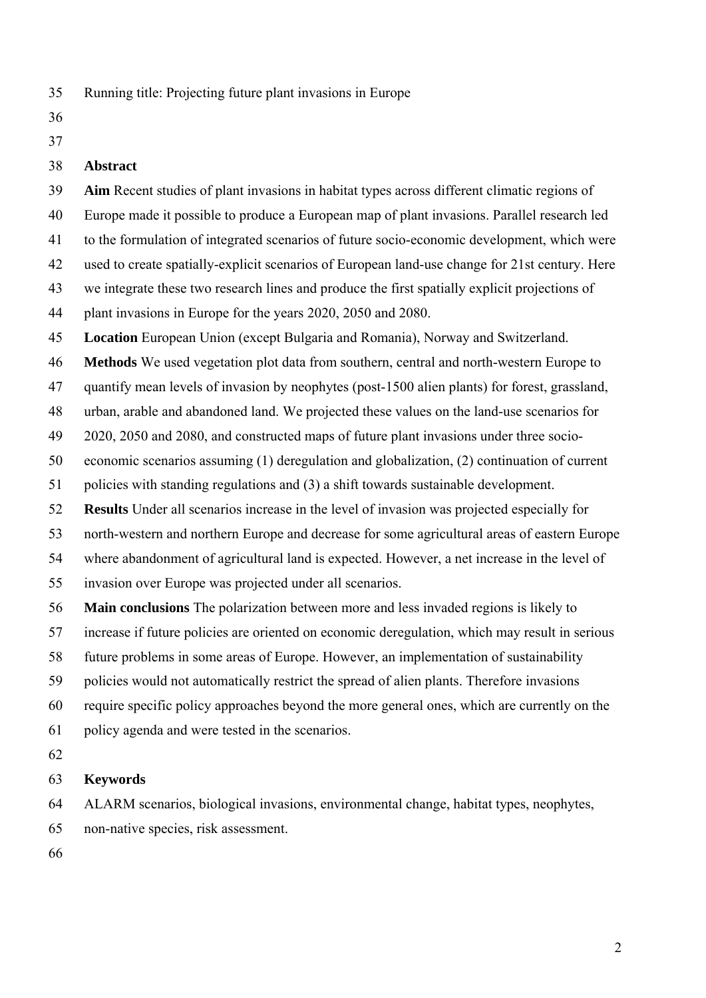- 35 Running title: Projecting future plant invasions in Europe
- 36
- 37

#### 38 **Abstract**

39 **Aim** Recent studies of plant invasions in habitat types across different climatic regions of 40 Europe made it possible to produce a European map of plant invasions. Parallel research led 41 to the formulation of integrated scenarios of future socio-economic development, which were 42 used to create spatially-explicit scenarios of European land-use change for 21st century. Here 43 we integrate these two research lines and produce the first spatially explicit projections of 44 plant invasions in Europe for the years 2020, 2050 and 2080. 45 **Location** European Union (except Bulgaria and Romania), Norway and Switzerland. 46 **Methods** We used vegetation plot data from southern, central and north-western Europe to 47 quantify mean levels of invasion by neophytes (post-1500 alien plants) for forest, grassland, 48 urban, arable and abandoned land. We projected these values on the land-use scenarios for 49 2020, 2050 and 2080, and constructed maps of future plant invasions under three socio-50 economic scenarios assuming (1) deregulation and globalization, (2) continuation of current 51 policies with standing regulations and (3) a shift towards sustainable development. 52 **Results** Under all scenarios increase in the level of invasion was projected especially for 53 north-western and northern Europe and decrease for some agricultural areas of eastern Europe 54 where abandonment of agricultural land is expected. However, a net increase in the level of 55 invasion over Europe was projected under all scenarios.

- 
- 56 **Main conclusions** The polarization between more and less invaded regions is likely to
- 57 increase if future policies are oriented on economic deregulation, which may result in serious
- 58 future problems in some areas of Europe. However, an implementation of sustainability
- 59 policies would not automatically restrict the spread of alien plants. Therefore invasions
- 60 require specific policy approaches beyond the more general ones, which are currently on the
- 61 policy agenda and were tested in the scenarios.
- 62

# 63 **Keywords**

64 ALARM scenarios, biological invasions, environmental change, habitat types, neophytes,

- 65 non-native species, risk assessment.
- 66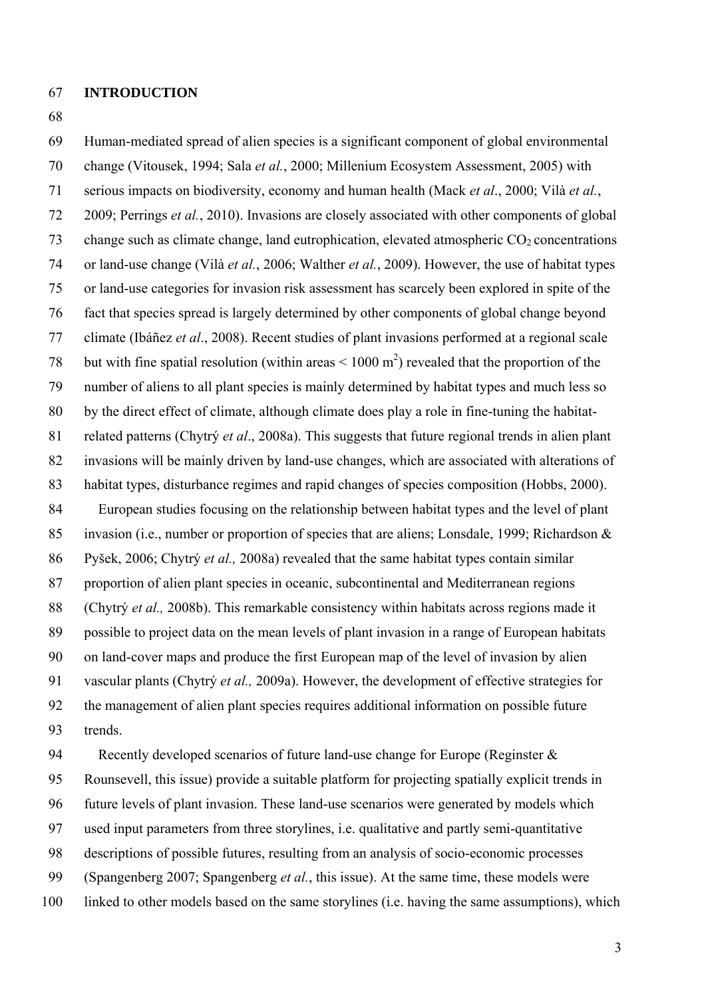#### 67 **INTRODUCTION**

68

69 Human-mediated spread of alien species is a significant component of global environmental 70 change (Vitousek, 1994; Sala *et al.*, 2000; Millenium Ecosystem Assessment, 2005) with 71 serious impacts on biodiversity, economy and human health (Mack *et al*., 2000; Vilà *et al.*, 72 2009; Perrings *et al.*, 2010). Invasions are closely associated with other components of global 73 change such as climate change, land eutrophication, elevated atmospheric  $CO<sub>2</sub>$  concentrations 74 or land-use change (Vilà *et al.*, 2006; Walther *et al.*, 2009). However, the use of habitat types 75 or land-use categories for invasion risk assessment has scarcely been explored in spite of the 76 fact that species spread is largely determined by other components of global change beyond 77 climate (Ibáñez *et al*., 2008). Recent studies of plant invasions performed at a regional scale 78 but with fine spatial resolution (within areas  $\leq 1000$  m<sup>2</sup>) revealed that the proportion of the 79 number of aliens to all plant species is mainly determined by habitat types and much less so 80 by the direct effect of climate, although climate does play a role in fine-tuning the habitat-81 related patterns (Chytrý *et al*., 2008a). This suggests that future regional trends in alien plant 82 invasions will be mainly driven by land-use changes, which are associated with alterations of 83 habitat types, disturbance regimes and rapid changes of species composition (Hobbs, 2000). 84 European studies focusing on the relationship between habitat types and the level of plant 85 invasion (i.e., number or proportion of species that are aliens; Lonsdale, 1999; Richardson & 86 Pyšek, 2006; Chytrý *et al.,* 2008a) revealed that the same habitat types contain similar 87 proportion of alien plant species in oceanic, subcontinental and Mediterranean regions 88 (Chytrý *et al.,* 2008b). This remarkable consistency within habitats across regions made it 89 possible to project data on the mean levels of plant invasion in a range of European habitats 90 on land-cover maps and produce the first European map of the level of invasion by alien 91 vascular plants (Chytrý *et al.,* 2009a). However, the development of effective strategies for 92 the management of alien plant species requires additional information on possible future 93 trends.

94 Recently developed scenarios of future land-use change for Europe (Reginster & 95 Rounsevell, this issue) provide a suitable platform for projecting spatially explicit trends in 96 future levels of plant invasion. These land-use scenarios were generated by models which 97 used input parameters from three storylines, i.e. qualitative and partly semi-quantitative 98 descriptions of possible futures, resulting from an analysis of socio-economic processes 99 (Spangenberg 2007; Spangenberg *et al.*, this issue). At the same time, these models were 100 linked to other models based on the same storylines (i.e. having the same assumptions), which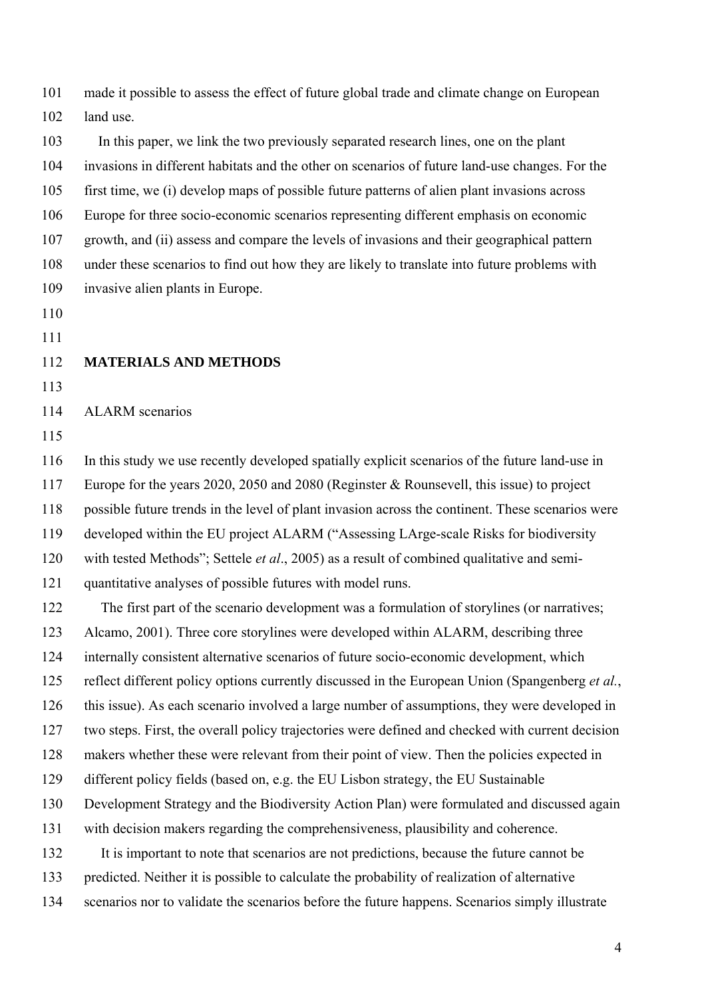101 made it possible to assess the effect of future global trade and climate change on European 102 land use.

103 In this paper, we link the two previously separated research lines, one on the plant 104 invasions in different habitats and the other on scenarios of future land-use changes. For the 105 first time, we (i) develop maps of possible future patterns of alien plant invasions across 106 Europe for three socio-economic scenarios representing different emphasis on economic 107 growth, and (ii) assess and compare the levels of invasions and their geographical pattern 108 under these scenarios to find out how they are likely to translate into future problems with 109 invasive alien plants in Europe.

110

111

### 112 **MATERIALS AND METHODS**

113

### 114 ALARM scenarios

115

116 In this study we use recently developed spatially explicit scenarios of the future land-use in 117 Europe for the years 2020, 2050 and 2080 (Reginster & Rounsevell, this issue) to project 118 possible future trends in the level of plant invasion across the continent. These scenarios were 119 developed within the EU project ALARM ("Assessing LArge-scale Risks for biodiversity 120 with tested Methods"; Settele *et al*., 2005) as a result of combined qualitative and semi-

121 quantitative analyses of possible futures with model runs.

122 The first part of the scenario development was a formulation of storylines (or narratives;

123 Alcamo, 2001). Three core storylines were developed within ALARM, describing three

124 internally consistent alternative scenarios of future socio-economic development, which

125 reflect different policy options currently discussed in the European Union (Spangenberg *et al.*,

126 this issue). As each scenario involved a large number of assumptions, they were developed in

127 two steps. First, the overall policy trajectories were defined and checked with current decision

128 makers whether these were relevant from their point of view. Then the policies expected in

129 different policy fields (based on, e.g. the EU Lisbon strategy, the EU Sustainable

130 Development Strategy and the Biodiversity Action Plan) were formulated and discussed again

131 with decision makers regarding the comprehensiveness, plausibility and coherence.

132 It is important to note that scenarios are not predictions, because the future cannot be

133 predicted. Neither it is possible to calculate the probability of realization of alternative

134 scenarios nor to validate the scenarios before the future happens. Scenarios simply illustrate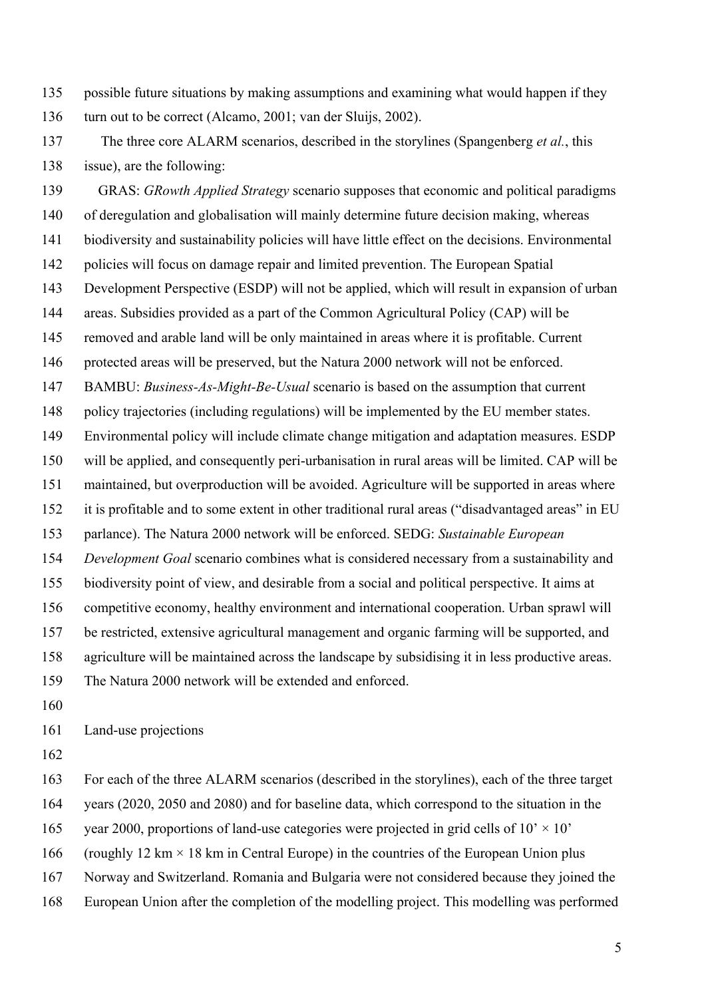135 possible future situations by making assumptions and examining what would happen if they 136 turn out to be correct (Alcamo, 2001; van der Sluijs, 2002).

137 The three core ALARM scenarios, described in the storylines (Spangenberg *et al.*, this 138 issue), are the following:

139 GRAS: *GRowth Applied Strategy* scenario supposes that economic and political paradigms 140 of deregulation and globalisation will mainly determine future decision making, whereas 141 biodiversity and sustainability policies will have little effect on the decisions. Environmental 142 policies will focus on damage repair and limited prevention. The European Spatial 143 Development Perspective (ESDP) will not be applied, which will result in expansion of urban 144 areas. Subsidies provided as a part of the Common Agricultural Policy (CAP) will be 145 removed and arable land will be only maintained in areas where it is profitable. Current 146 protected areas will be preserved, but the Natura 2000 network will not be enforced. 147 BAMBU: *Business-As-Might-Be-Usual* scenario is based on the assumption that current 148 policy trajectories (including regulations) will be implemented by the EU member states. 149 Environmental policy will include climate change mitigation and adaptation measures. ESDP 150 will be applied, and consequently peri-urbanisation in rural areas will be limited. CAP will be 151 maintained, but overproduction will be avoided. Agriculture will be supported in areas where 152 it is profitable and to some extent in other traditional rural areas ("disadvantaged areas" in EU 153 parlance). The Natura 2000 network will be enforced. SEDG: *Sustainable European*  154 *Development Goal* scenario combines what is considered necessary from a sustainability and 155 biodiversity point of view, and desirable from a social and political perspective. It aims at 156 competitive economy, healthy environment and international cooperation. Urban sprawl will 157 be restricted, extensive agricultural management and organic farming will be supported, and 158 agriculture will be maintained across the landscape by subsidising it in less productive areas. 159 The Natura 2000 network will be extended and enforced.

160

161 Land-use projections

162

163 For each of the three ALARM scenarios (described in the storylines), each of the three target

164 years (2020, 2050 and 2080) and for baseline data, which correspond to the situation in the

165 vear 2000, proportions of land-use categories were projected in grid cells of  $10' \times 10'$ 

166 (roughly 12 km  $\times$  18 km in Central Europe) in the countries of the European Union plus

167 Norway and Switzerland. Romania and Bulgaria were not considered because they joined the

168 European Union after the completion of the modelling project. This modelling was performed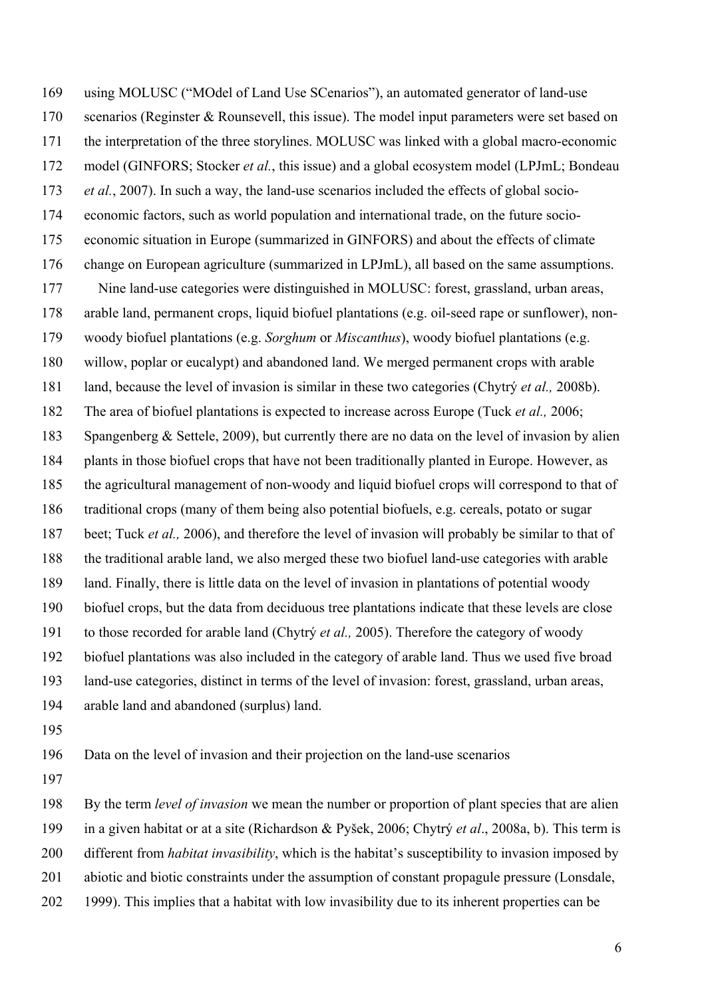169 using MOLUSC ("MOdel of Land Use SCenarios"), an automated generator of land-use 170 scenarios (Reginster & Rounsevell, this issue). The model input parameters were set based on 171 the interpretation of the three storylines. MOLUSC was linked with a global macro-economic 172 model (GINFORS; Stocker *et al.*, this issue) and a global ecosystem model (LPJmL; Bondeau 173 *et al.*, 2007). In such a way, the land-use scenarios included the effects of global socio-174 economic factors, such as world population and international trade, on the future socio-175 economic situation in Europe (summarized in GINFORS) and about the effects of climate 176 change on European agriculture (summarized in LPJmL), all based on the same assumptions. 177 Nine land-use categories were distinguished in MOLUSC: forest, grassland, urban areas, 178 arable land, permanent crops, liquid biofuel plantations (e.g. oil-seed rape or sunflower), non-179 woody biofuel plantations (e.g. *Sorghum* or *Miscanthus*), woody biofuel plantations (e.g. 180 willow, poplar or eucalypt) and abandoned land. We merged permanent crops with arable 181 land, because the level of invasion is similar in these two categories (Chytrý *et al.,* 2008b). 182 The area of biofuel plantations is expected to increase across Europe (Tuck *et al.,* 2006; 183 Spangenberg & Settele, 2009), but currently there are no data on the level of invasion by alien 184 plants in those biofuel crops that have not been traditionally planted in Europe. However, as 185 the agricultural management of non-woody and liquid biofuel crops will correspond to that of 186 traditional crops (many of them being also potential biofuels, e.g. cereals, potato or sugar 187 beet; Tuck *et al.,* 2006), and therefore the level of invasion will probably be similar to that of 188 the traditional arable land, we also merged these two biofuel land-use categories with arable 189 land. Finally, there is little data on the level of invasion in plantations of potential woody 190 biofuel crops, but the data from deciduous tree plantations indicate that these levels are close 191 to those recorded for arable land (Chytrý *et al.,* 2005). Therefore the category of woody 192 biofuel plantations was also included in the category of arable land. Thus we used five broad 193 land-use categories, distinct in terms of the level of invasion: forest, grassland, urban areas, 194 arable land and abandoned (surplus) land.

195

196 Data on the level of invasion and their projection on the land-use scenarios

197

198 By the term *level of invasion* we mean the number or proportion of plant species that are alien

199 in a given habitat or at a site (Richardson & Pyšek, 2006; Chytrý *et al*., 2008a, b). This term is

- 200 different from *habitat invasibility*, which is the habitat's susceptibility to invasion imposed by
- 201 abiotic and biotic constraints under the assumption of constant propagule pressure (Lonsdale,
- 202 1999). This implies that a habitat with low invasibility due to its inherent properties can be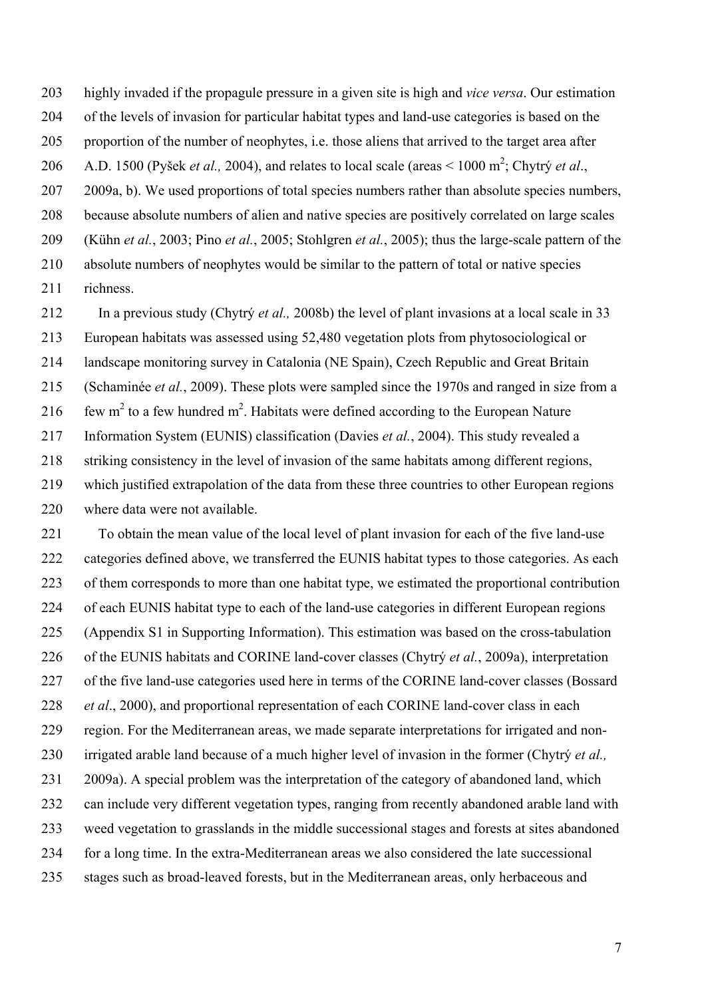203 highly invaded if the propagule pressure in a given site is high and *vice versa*. Our estimation 204 of the levels of invasion for particular habitat types and land-use categories is based on the 205 proportion of the number of neophytes, i.e. those aliens that arrived to the target area after 206 A.D. 1500 (Pyšek *et al.*, 2004), and relates to local scale (areas  $\leq 1000 \text{ m}^2$ ; Chytrý *et al.*, 207 2009a, b). We used proportions of total species numbers rather than absolute species numbers, 208 because absolute numbers of alien and native species are positively correlated on large scales 209 (Kühn *et al.*, 2003; Pino *et al.*, 2005; Stohlgren *et al.*, 2005); thus the large-scale pattern of the 210 absolute numbers of neophytes would be similar to the pattern of total or native species 211 richness.

212 In a previous study (Chytrý *et al.,* 2008b) the level of plant invasions at a local scale in 33 213 European habitats was assessed using 52,480 vegetation plots from phytosociological or 214 landscape monitoring survey in Catalonia (NE Spain), Czech Republic and Great Britain 215 (Schaminée *et al.*, 2009). These plots were sampled since the 1970s and ranged in size from a 216 few m<sup>2</sup> to a few hundred m<sup>2</sup>. Habitats were defined according to the European Nature 217 Information System (EUNIS) classification (Davies *et al.*, 2004). This study revealed a 218 striking consistency in the level of invasion of the same habitats among different regions, 219 which justified extrapolation of the data from these three countries to other European regions 220 where data were not available.

221 To obtain the mean value of the local level of plant invasion for each of the five land-use 222 categories defined above, we transferred the EUNIS habitat types to those categories. As each 223 of them corresponds to more than one habitat type, we estimated the proportional contribution 224 of each EUNIS habitat type to each of the land-use categories in different European regions 225 (Appendix S1 in Supporting Information). This estimation was based on the cross-tabulation 226 of the EUNIS habitats and CORINE land-cover classes (Chytrý *et al.*, 2009a), interpretation 227 of the five land-use categories used here in terms of the CORINE land-cover classes (Bossard 228 *et al*., 2000), and proportional representation of each CORINE land-cover class in each 229 region. For the Mediterranean areas, we made separate interpretations for irrigated and non-230 irrigated arable land because of a much higher level of invasion in the former (Chytrý *et al.,* 231 2009a). A special problem was the interpretation of the category of abandoned land, which 232 can include very different vegetation types, ranging from recently abandoned arable land with 233 weed vegetation to grasslands in the middle successional stages and forests at sites abandoned 234 for a long time. In the extra-Mediterranean areas we also considered the late successional 235 stages such as broad-leaved forests, but in the Mediterranean areas, only herbaceous and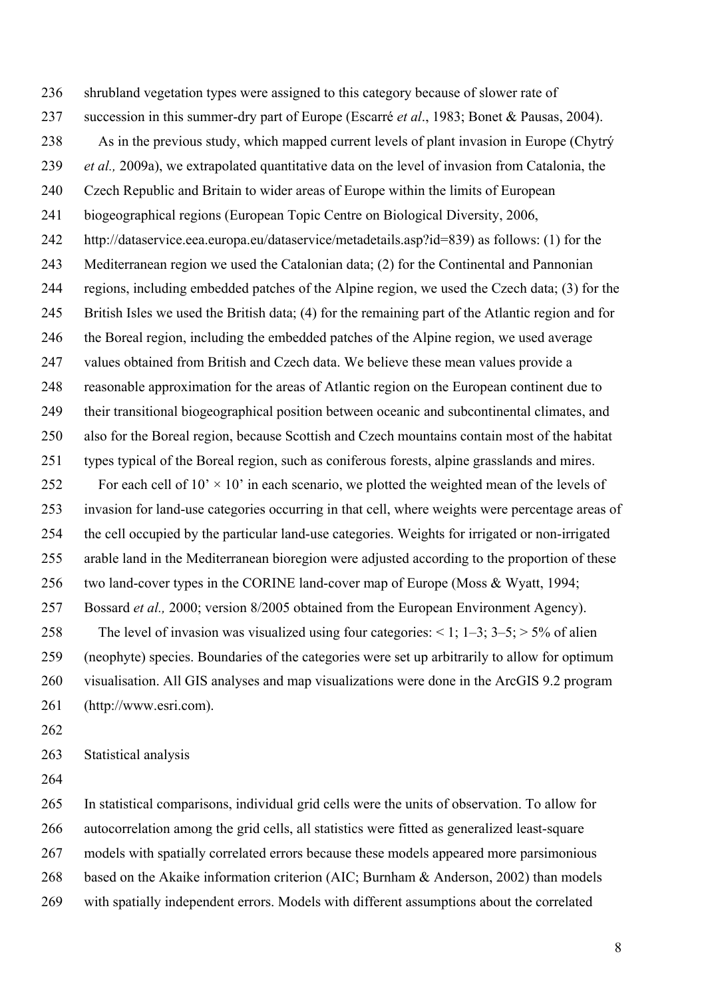236 shrubland vegetation types were assigned to this category because of slower rate of 237 succession in this summer-dry part of Europe (Escarré *et al*., 1983; Bonet & Pausas, 2004). 238 As in the previous study, which mapped current levels of plant invasion in Europe (Chytrý 239 *et al.,* 2009a), we extrapolated quantitative data on the level of invasion from Catalonia, the 240 Czech Republic and Britain to wider areas of Europe within the limits of European 241 biogeographical regions (European Topic Centre on Biological Diversity, 2006, 242 http://dataservice.eea.europa.eu/dataservice/metadetails.asp?id=839) as follows: (1) for the 243 Mediterranean region we used the Catalonian data; (2) for the Continental and Pannonian 244 regions, including embedded patches of the Alpine region, we used the Czech data; (3) for the 245 British Isles we used the British data; (4) for the remaining part of the Atlantic region and for 246 the Boreal region, including the embedded patches of the Alpine region, we used average 247 values obtained from British and Czech data. We believe these mean values provide a 248 reasonable approximation for the areas of Atlantic region on the European continent due to 249 their transitional biogeographical position between oceanic and subcontinental climates, and 250 also for the Boreal region, because Scottish and Czech mountains contain most of the habitat 251 types typical of the Boreal region, such as coniferous forests, alpine grasslands and mires. 252 For each cell of  $10' \times 10'$  in each scenario, we plotted the weighted mean of the levels of 253 invasion for land-use categories occurring in that cell, where weights were percentage areas of 254 the cell occupied by the particular land-use categories. Weights for irrigated or non-irrigated 255 arable land in the Mediterranean bioregion were adjusted according to the proportion of these 256 two land-cover types in the CORINE land-cover map of Europe (Moss & Wyatt, 1994; 257 Bossard *et al.,* 2000; version 8/2005 obtained from the European Environment Agency). 258 The level of invasion was visualized using four categories:  $\le 1$ ; 1–3; 3–5;  $> 5\%$  of alien 259 (neophyte) species. Boundaries of the categories were set up arbitrarily to allow for optimum 260 visualisation. All GIS analyses and map visualizations were done in the ArcGIS 9.2 program 261 (http://www.esri.com).

262

263 Statistical analysis

264

265 In statistical comparisons, individual grid cells were the units of observation. To allow for 266 autocorrelation among the grid cells, all statistics were fitted as generalized least-square 267 models with spatially correlated errors because these models appeared more parsimonious 268 based on the Akaike information criterion (AIC; Burnham & Anderson, 2002) than models 269 with spatially independent errors. Models with different assumptions about the correlated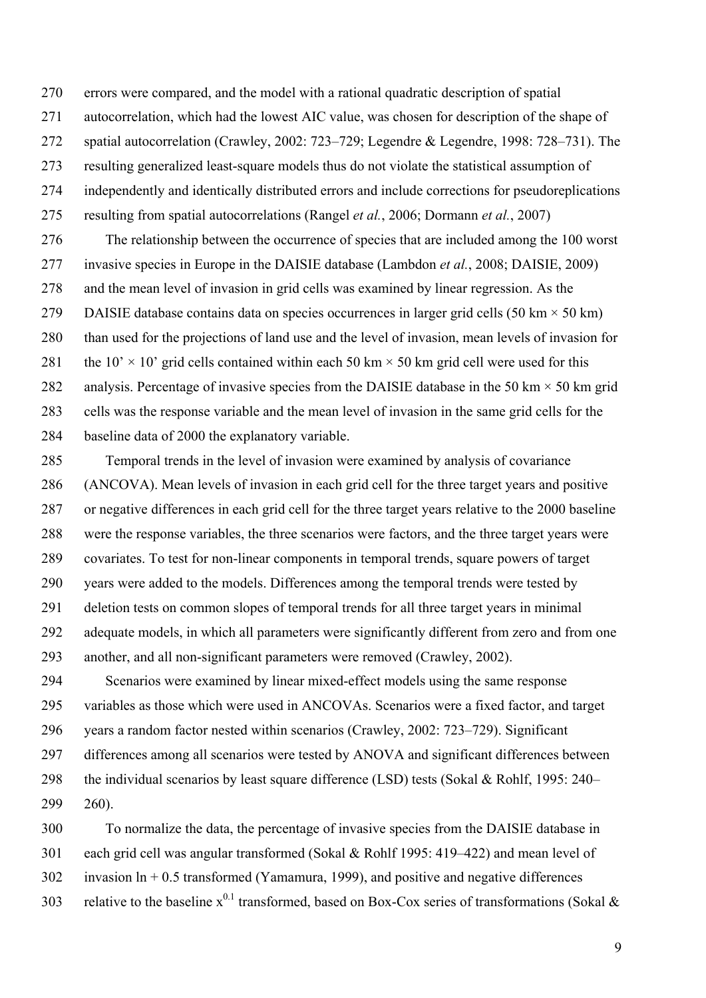270 errors were compared, and the model with a rational quadratic description of spatial 271 autocorrelation, which had the lowest AIC value, was chosen for description of the shape of 272 spatial autocorrelation (Crawley, 2002: 723–729; Legendre & Legendre, 1998: 728–731). The 273 resulting generalized least-square models thus do not violate the statistical assumption of

274 independently and identically distributed errors and include corrections for pseudoreplications

275 resulting from spatial autocorrelations (Rangel *et al.*, 2006; Dormann *et al.*, 2007)

276 The relationship between the occurrence of species that are included among the 100 worst 277 invasive species in Europe in the DAISIE database (Lambdon *et al.*, 2008; DAISIE, 2009) 278 and the mean level of invasion in grid cells was examined by linear regression. As the 279 DAISIE database contains data on species occurrences in larger grid cells  $(50 \text{ km} \times 50 \text{ km})$ 280 than used for the projections of land use and the level of invasion, mean levels of invasion for 281 the  $10' \times 10'$  grid cells contained within each 50 km  $\times$  50 km grid cell were used for this 282 analysis. Percentage of invasive species from the DAISIE database in the 50 km  $\times$  50 km grid 283 cells was the response variable and the mean level of invasion in the same grid cells for the 284 baseline data of 2000 the explanatory variable.

285 Temporal trends in the level of invasion were examined by analysis of covariance 286 (ANCOVA). Mean levels of invasion in each grid cell for the three target years and positive 287 or negative differences in each grid cell for the three target years relative to the 2000 baseline 288 were the response variables, the three scenarios were factors, and the three target years were 289 covariates. To test for non-linear components in temporal trends, square powers of target 290 years were added to the models. Differences among the temporal trends were tested by 291 deletion tests on common slopes of temporal trends for all three target years in minimal 292 adequate models, in which all parameters were significantly different from zero and from one 293 another, and all non-significant parameters were removed (Crawley, 2002).

294 Scenarios were examined by linear mixed-effect models using the same response 295 variables as those which were used in ANCOVAs. Scenarios were a fixed factor, and target 296 years a random factor nested within scenarios (Crawley, 2002: 723–729). Significant 297 differences among all scenarios were tested by ANOVA and significant differences between 298 the individual scenarios by least square difference (LSD) tests (Sokal & Rohlf, 1995: 240– 299 260).

300 To normalize the data, the percentage of invasive species from the DAISIE database in 301 each grid cell was angular transformed (Sokal & Rohlf 1995: 419–422) and mean level of 302 invasion ln + 0.5 transformed (Yamamura, 1999), and positive and negative differences 303 relative to the baseline  $x^{0.1}$  transformed, based on Box-Cox series of transformations (Sokal &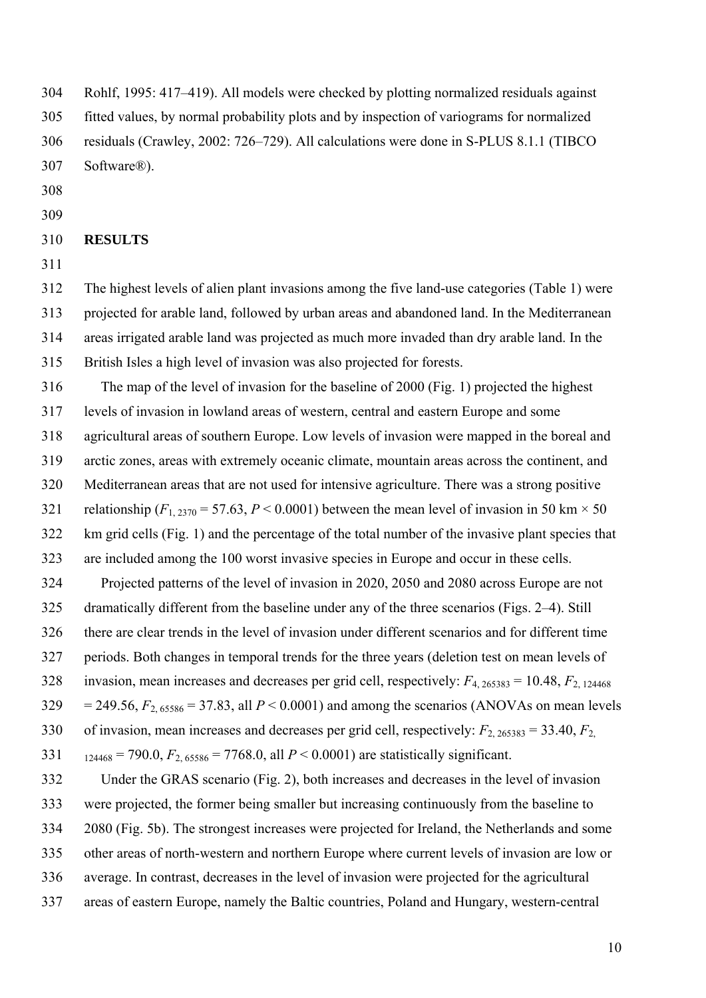304 Rohlf, 1995: 417–419). All models were checked by plotting normalized residuals against 305 fitted values, by normal probability plots and by inspection of variograms for normalized 306 residuals (Crawley, 2002: 726–729). All calculations were done in S-PLUS 8.1.1 (TIBCO 307 Software®).

- 308
- 309

### 310 **RESULTS**

311

312 The highest levels of alien plant invasions among the five land-use categories (Table 1) were 313 projected for arable land, followed by urban areas and abandoned land. In the Mediterranean 314 areas irrigated arable land was projected as much more invaded than dry arable land. In the 315 British Isles a high level of invasion was also projected for forests.

316 The map of the level of invasion for the baseline of 2000 (Fig. 1) projected the highest 317 levels of invasion in lowland areas of western, central and eastern Europe and some 318 agricultural areas of southern Europe. Low levels of invasion were mapped in the boreal and 319 arctic zones, areas with extremely oceanic climate, mountain areas across the continent, and 320 Mediterranean areas that are not used for intensive agriculture. There was a strong positive 321 relationship  $(F_{1, 2370} = 57.63, P < 0.0001)$  between the mean level of invasion in 50 km  $\times$  50 322 km grid cells (Fig. 1) and the percentage of the total number of the invasive plant species that 323 are included among the 100 worst invasive species in Europe and occur in these cells. 324 Projected patterns of the level of invasion in 2020, 2050 and 2080 across Europe are not 325 dramatically different from the baseline under any of the three scenarios (Figs. 2–4). Still 326 there are clear trends in the level of invasion under different scenarios and for different time 327 periods. Both changes in temporal trends for the three years (deletion test on mean levels of 328 invasion, mean increases and decreases per grid cell, respectively: *F*4, 265383 = 10.48, *F*2, 124468 329 = 249.56,  $F_{2.65586}$  = 37.83, all  $P < 0.0001$ ) and among the scenarios (ANOVAs on mean levels

330 of invasion, mean increases and decreases per grid cell, respectively: *F*2, 265383 = 33.40, *F*2,

331  $_{124468} = 790.0, F_{2.65586} = 7768.0,$  all  $P < 0.0001$ ) are statistically significant.

332 Under the GRAS scenario (Fig. 2), both increases and decreases in the level of invasion 333 were projected, the former being smaller but increasing continuously from the baseline to 334 2080 (Fig. 5b). The strongest increases were projected for Ireland, the Netherlands and some 335 other areas of north-western and northern Europe where current levels of invasion are low or 336 average. In contrast, decreases in the level of invasion were projected for the agricultural 337 areas of eastern Europe, namely the Baltic countries, Poland and Hungary, western-central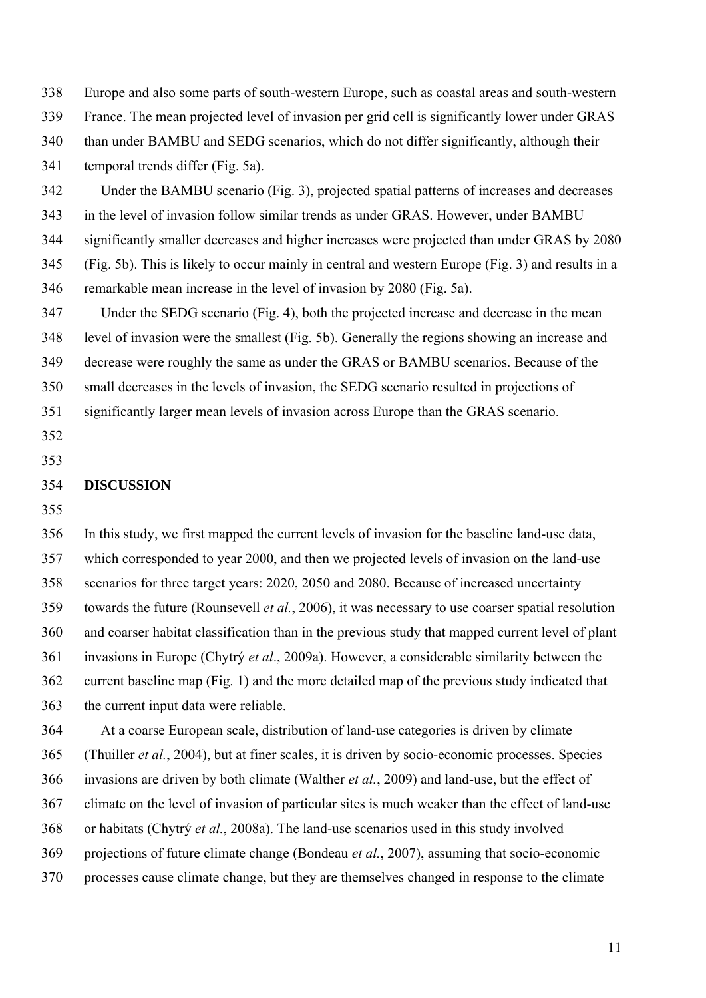338 Europe and also some parts of south-western Europe, such as coastal areas and south-western 339 France. The mean projected level of invasion per grid cell is significantly lower under GRAS 340 than under BAMBU and SEDG scenarios, which do not differ significantly, although their 341 temporal trends differ (Fig. 5a).

342 Under the BAMBU scenario (Fig. 3), projected spatial patterns of increases and decreases 343 in the level of invasion follow similar trends as under GRAS. However, under BAMBU 344 significantly smaller decreases and higher increases were projected than under GRAS by 2080 345 (Fig. 5b). This is likely to occur mainly in central and western Europe (Fig. 3) and results in a 346 remarkable mean increase in the level of invasion by 2080 (Fig. 5a).

347 Under the SEDG scenario (Fig. 4), both the projected increase and decrease in the mean 348 level of invasion were the smallest (Fig. 5b). Generally the regions showing an increase and 349 decrease were roughly the same as under the GRAS or BAMBU scenarios. Because of the

350 small decreases in the levels of invasion, the SEDG scenario resulted in projections of

351 significantly larger mean levels of invasion across Europe than the GRAS scenario.

- 352
- 353

# 354 **DISCUSSION**

355

356 In this study, we first mapped the current levels of invasion for the baseline land-use data, 357 which corresponded to year 2000, and then we projected levels of invasion on the land-use 358 scenarios for three target years: 2020, 2050 and 2080. Because of increased uncertainty 359 towards the future (Rounsevell *et al.*, 2006), it was necessary to use coarser spatial resolution 360 and coarser habitat classification than in the previous study that mapped current level of plant 361 invasions in Europe (Chytrý *et al*., 2009a). However, a considerable similarity between the 362 current baseline map (Fig. 1) and the more detailed map of the previous study indicated that 363 the current input data were reliable.

364 At a coarse European scale, distribution of land-use categories is driven by climate 365 (Thuiller *et al.*, 2004), but at finer scales, it is driven by socio-economic processes. Species 366 invasions are driven by both climate (Walther *et al.*, 2009) and land-use, but the effect of 367 climate on the level of invasion of particular sites is much weaker than the effect of land-use 368 or habitats (Chytrý *et al.*, 2008a). The land-use scenarios used in this study involved 369 projections of future climate change (Bondeau *et al.*, 2007), assuming that socio-economic 370 processes cause climate change, but they are themselves changed in response to the climate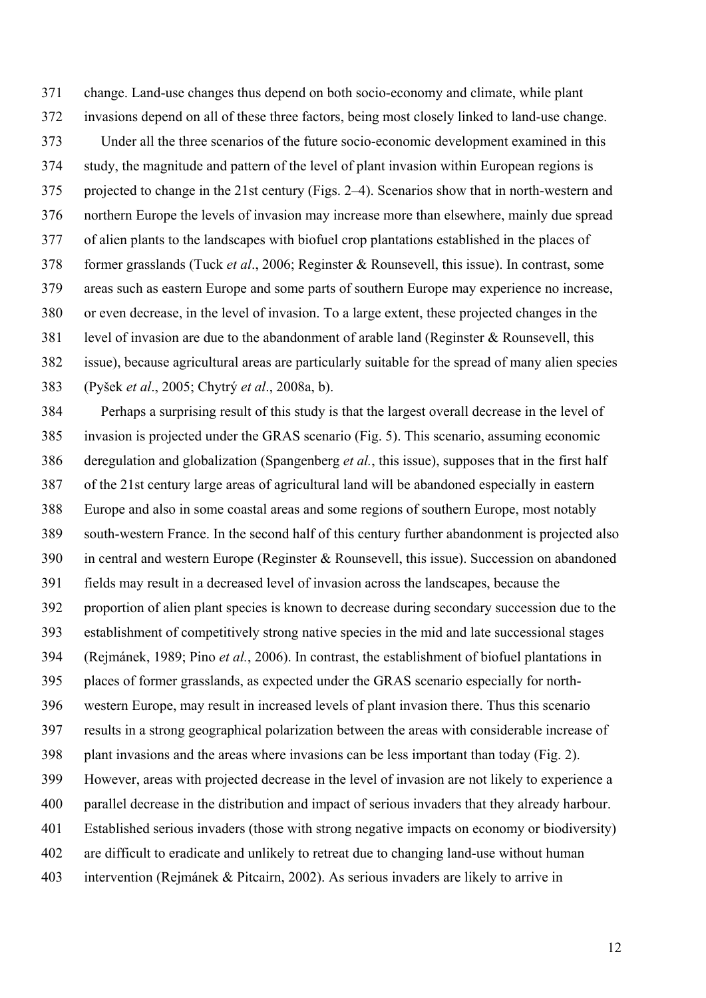371 change. Land-use changes thus depend on both socio-economy and climate, while plant 372 invasions depend on all of these three factors, being most closely linked to land-use change. 373 Under all the three scenarios of the future socio-economic development examined in this 374 study, the magnitude and pattern of the level of plant invasion within European regions is 375 projected to change in the 21st century (Figs. 2–4). Scenarios show that in north-western and 376 northern Europe the levels of invasion may increase more than elsewhere, mainly due spread 377 of alien plants to the landscapes with biofuel crop plantations established in the places of 378 former grasslands (Tuck *et al*., 2006; Reginster & Rounsevell, this issue). In contrast, some 379 areas such as eastern Europe and some parts of southern Europe may experience no increase, 380 or even decrease, in the level of invasion. To a large extent, these projected changes in the 381 level of invasion are due to the abandonment of arable land (Reginster & Rounsevell, this 382 issue), because agricultural areas are particularly suitable for the spread of many alien species 383 (Pyšek *et al*., 2005; Chytrý *et al*., 2008a, b).

384 Perhaps a surprising result of this study is that the largest overall decrease in the level of 385 invasion is projected under the GRAS scenario (Fig. 5). This scenario, assuming economic 386 deregulation and globalization (Spangenberg *et al.*, this issue), supposes that in the first half 387 of the 21st century large areas of agricultural land will be abandoned especially in eastern 388 Europe and also in some coastal areas and some regions of southern Europe, most notably 389 south-western France. In the second half of this century further abandonment is projected also 390 in central and western Europe (Reginster & Rounsevell, this issue). Succession on abandoned 391 fields may result in a decreased level of invasion across the landscapes, because the 392 proportion of alien plant species is known to decrease during secondary succession due to the 393 establishment of competitively strong native species in the mid and late successional stages 394 (Rejmánek, 1989; Pino *et al.*, 2006). In contrast, the establishment of biofuel plantations in 395 places of former grasslands, as expected under the GRAS scenario especially for north-396 western Europe, may result in increased levels of plant invasion there. Thus this scenario 397 results in a strong geographical polarization between the areas with considerable increase of 398 plant invasions and the areas where invasions can be less important than today (Fig. 2). 399 However, areas with projected decrease in the level of invasion are not likely to experience a 400 parallel decrease in the distribution and impact of serious invaders that they already harbour. 401 Established serious invaders (those with strong negative impacts on economy or biodiversity) 402 are difficult to eradicate and unlikely to retreat due to changing land-use without human 403 intervention (Rejmánek & Pitcairn, 2002). As serious invaders are likely to arrive in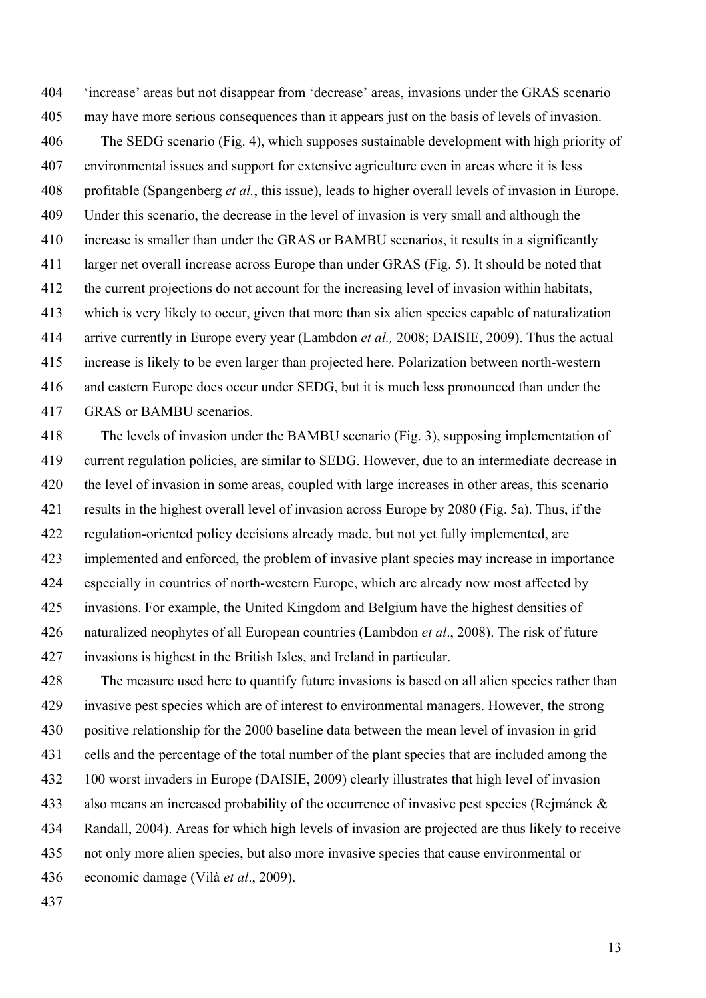404 'increase' areas but not disappear from 'decrease' areas, invasions under the GRAS scenario 405 may have more serious consequences than it appears just on the basis of levels of invasion. 406 The SEDG scenario (Fig. 4), which supposes sustainable development with high priority of 407 environmental issues and support for extensive agriculture even in areas where it is less 408 profitable (Spangenberg *et al.*, this issue), leads to higher overall levels of invasion in Europe. 409 Under this scenario, the decrease in the level of invasion is very small and although the 410 increase is smaller than under the GRAS or BAMBU scenarios, it results in a significantly 411 larger net overall increase across Europe than under GRAS (Fig. 5). It should be noted that 412 the current projections do not account for the increasing level of invasion within habitats, 413 which is very likely to occur, given that more than six alien species capable of naturalization 414 arrive currently in Europe every year (Lambdon *et al.,* 2008; DAISIE, 2009). Thus the actual 415 increase is likely to be even larger than projected here. Polarization between north-western 416 and eastern Europe does occur under SEDG, but it is much less pronounced than under the 417 GRAS or BAMBU scenarios.

418 The levels of invasion under the BAMBU scenario (Fig. 3), supposing implementation of 419 current regulation policies, are similar to SEDG. However, due to an intermediate decrease in 420 the level of invasion in some areas, coupled with large increases in other areas, this scenario 421 results in the highest overall level of invasion across Europe by 2080 (Fig. 5a). Thus, if the 422 regulation-oriented policy decisions already made, but not yet fully implemented, are 423 implemented and enforced, the problem of invasive plant species may increase in importance 424 especially in countries of north-western Europe, which are already now most affected by 425 invasions. For example, the United Kingdom and Belgium have the highest densities of 426 naturalized neophytes of all European countries (Lambdon *et al*., 2008). The risk of future 427 invasions is highest in the British Isles, and Ireland in particular.

428 The measure used here to quantify future invasions is based on all alien species rather than 429 invasive pest species which are of interest to environmental managers. However, the strong 430 positive relationship for the 2000 baseline data between the mean level of invasion in grid 431 cells and the percentage of the total number of the plant species that are included among the 432 100 worst invaders in Europe (DAISIE, 2009) clearly illustrates that high level of invasion 433 also means an increased probability of the occurrence of invasive pest species (Rejmánek & 434 Randall, 2004). Areas for which high levels of invasion are projected are thus likely to receive 435 not only more alien species, but also more invasive species that cause environmental or 436 economic damage (Vilà *et al*., 2009).

437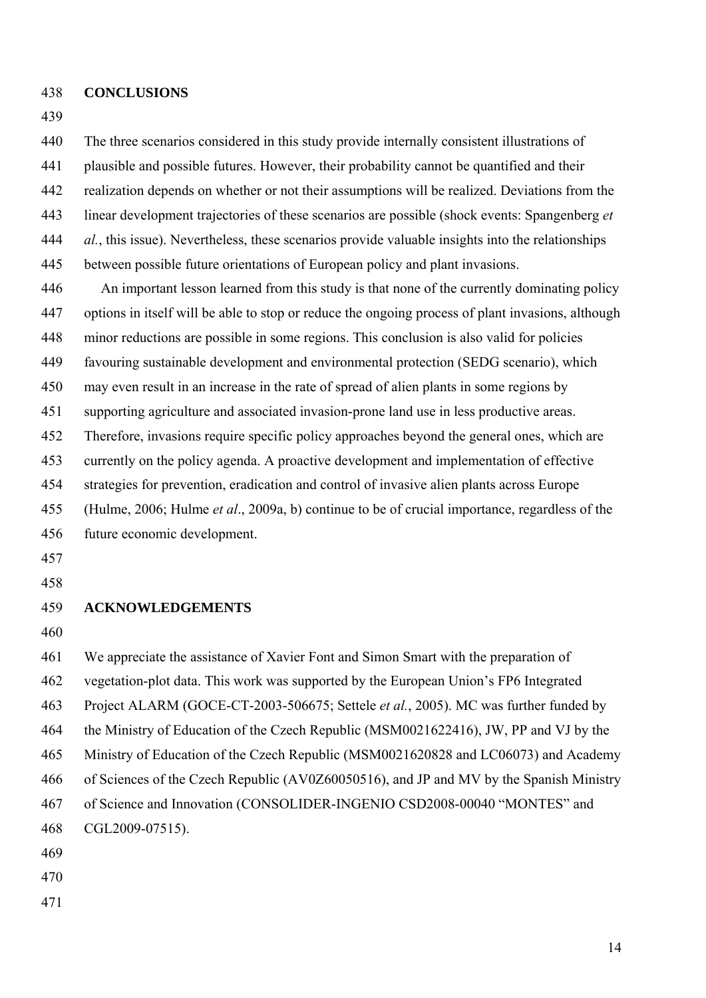- 438 **CONCLUSIONS**
- 439

440 The three scenarios considered in this study provide internally consistent illustrations of 441 plausible and possible futures. However, their probability cannot be quantified and their 442 realization depends on whether or not their assumptions will be realized. Deviations from the 443 linear development trajectories of these scenarios are possible (shock events: Spangenberg *et*  444 *al.*, this issue). Nevertheless, these scenarios provide valuable insights into the relationships 445 between possible future orientations of European policy and plant invasions.

446 An important lesson learned from this study is that none of the currently dominating policy 447 options in itself will be able to stop or reduce the ongoing process of plant invasions, although 448 minor reductions are possible in some regions. This conclusion is also valid for policies 449 favouring sustainable development and environmental protection (SEDG scenario), which 450 may even result in an increase in the rate of spread of alien plants in some regions by 451 supporting agriculture and associated invasion-prone land use in less productive areas. 452 Therefore, invasions require specific policy approaches beyond the general ones, which are 453 currently on the policy agenda. A proactive development and implementation of effective 454 strategies for prevention, eradication and control of invasive alien plants across Europe 455 (Hulme, 2006; Hulme *et al*., 2009a, b) continue to be of crucial importance, regardless of the 456 future economic development. 457

- 
- 458

## 459 **ACKNOWLEDGEMENTS**

460

461 We appreciate the assistance of Xavier Font and Simon Smart with the preparation of 462 vegetation-plot data. This work was supported by the European Union's FP6 Integrated 463 Project ALARM (GOCE-CT-2003-506675; Settele *et al.*, 2005). MC was further funded by 464 the Ministry of Education of the Czech Republic (MSM0021622416), JW, PP and VJ by the 465 Ministry of Education of the Czech Republic (MSM0021620828 and LC06073) and Academy 466 of Sciences of the Czech Republic (AV0Z60050516), and JP and MV by the Spanish Ministry 467 of Science and Innovation (CONSOLIDER-INGENIO CSD2008-00040 "MONTES" and 468 CGL2009-07515). 469 470

471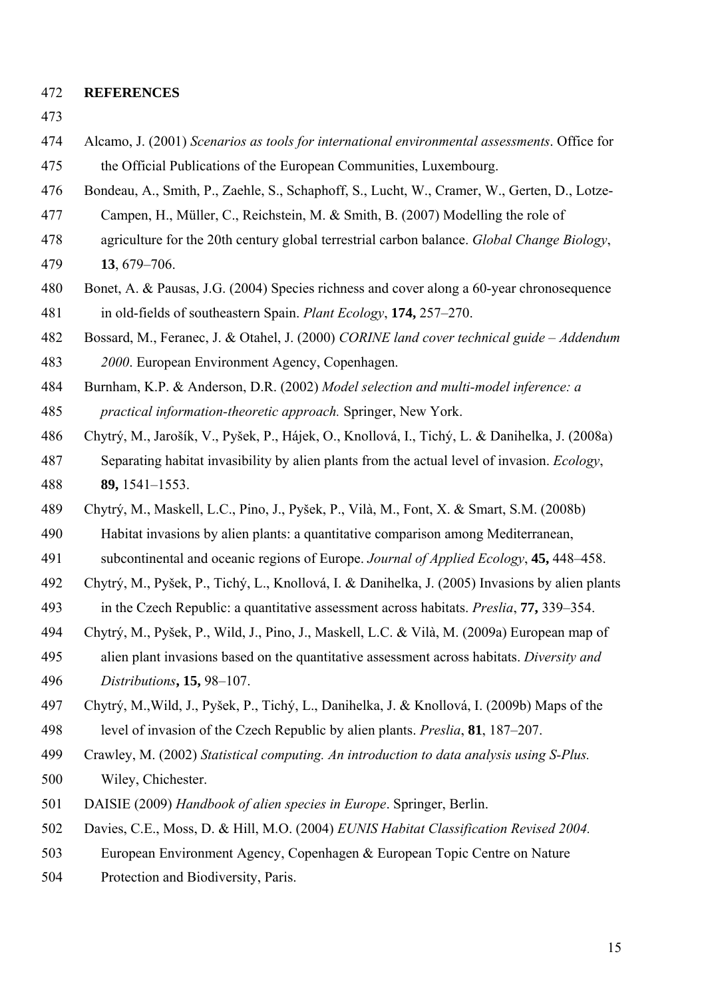- 472 **REFERENCES**
- 473
- 474 Alcamo, J. (2001) *Scenarios as tools for international environmental assessments*. Office for 475 the Official Publications of the European Communities, Luxembourg.
- 476 Bondeau, A., Smith, P., Zaehle, S., Schaphoff, S., Lucht, W., Cramer, W., Gerten, D., Lotze-
- 477 Campen, H., Müller, C., Reichstein, M. & Smith, B. (2007) Modelling the role of
- 478 agriculture for the 20th century global terrestrial carbon balance. *Global Change Biology*,
- 479 **13**, 679–706.
- 480 Bonet, A. & Pausas, J.G. (2004) Species richness and cover along a 60-year chronosequence 481 in old-fields of southeastern Spain. *Plant Ecology*, **174,** 257–270.

482 Bossard, M., Feranec, J. & Otahel, J. (2000) *CORINE land cover technical guide – Addendum*  483 *2000*. European Environment Agency, Copenhagen.

- 484 Burnham, K.P. & Anderson, D.R. (2002) *Model selection and multi-model inference: a*  485 *practical information-theoretic approach.* Springer, New York.
- 486 Chytrý, M., Jarošík, V., Pyšek, P., Hájek, O., Knollová, I., Tichý, L. & Danihelka, J. (2008a) 487 Separating habitat invasibility by alien plants from the actual level of invasion. *Ecology*, 488 **89,** 1541–1553.
- 489 Chytrý, M., Maskell, L.C., Pino, J., Pyšek, P., Vilà, M., Font, X. & Smart, S.M. (2008b)
- 490 Habitat invasions by alien plants: a quantitative comparison among Mediterranean,
- 491 subcontinental and oceanic regions of Europe. *Journal of Applied Ecology*, **45,** 448–458.
- 492 Chytrý, M., Pyšek, P., Tichý, L., Knollová, I. & Danihelka, J. (2005) Invasions by alien plants 493 in the Czech Republic: a quantitative assessment across habitats. *Preslia*, **77,** 339–354.
- 494 Chytrý, M., Pyšek, P., Wild, J., Pino, J., Maskell, L.C. & Vilà, M. (2009a) European map of
- 495 alien plant invasions based on the quantitative assessment across habitats. *Diversity and*  496 *Distributions***, 15,** 98–107.
- 497 Chytrý, M.,Wild, J., Pyšek, P., Tichý, L., Danihelka, J. & Knollová, I. (2009b) Maps of the 498 level of invasion of the Czech Republic by alien plants. *Preslia*, **81**, 187–207.
- 499 Crawley, M. (2002) *Statistical computing. An introduction to data analysis using S-Plus.*  500 Wiley, Chichester.
- 501 DAISIE (2009) *Handbook of alien species in Europe*. Springer, Berlin.
- 502 Davies, C.E., Moss, D. & Hill, M.O. (2004) *EUNIS Habitat Classification Revised 2004.*
- 503 European Environment Agency, Copenhagen & European Topic Centre on Nature
- 504 Protection and Biodiversity, Paris.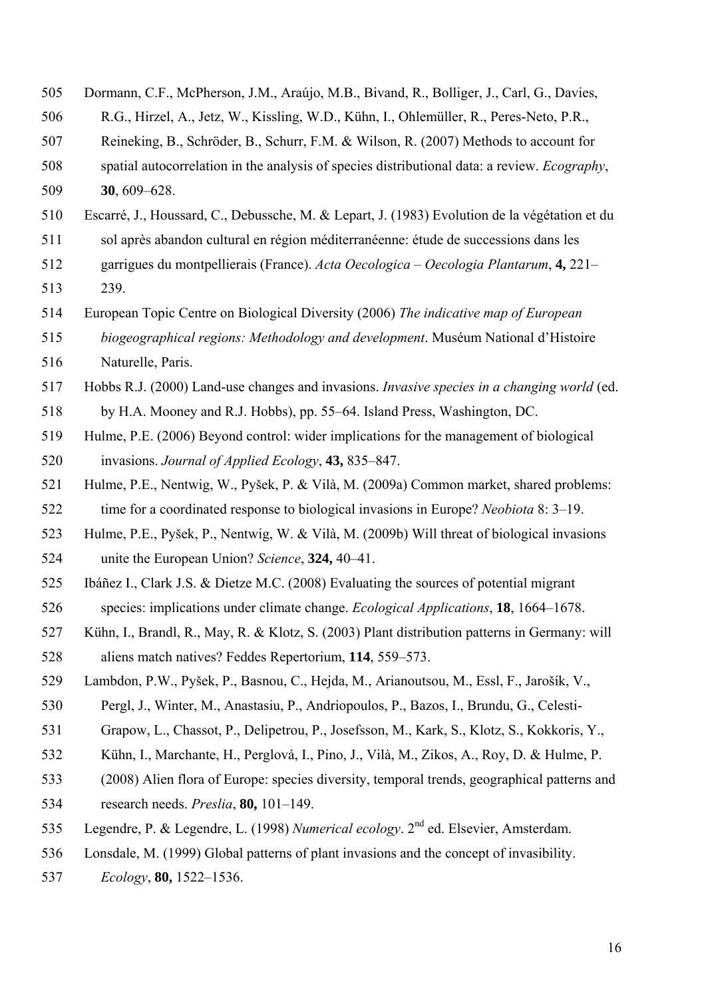| 505 | Dormann, C.F., McPherson, J.M., Araújo, M.B., Bivand, R., Bolliger, J., Carl, G., Davies,           |
|-----|-----------------------------------------------------------------------------------------------------|
| 506 | R.G., Hirzel, A., Jetz, W., Kissling, W.D., Kühn, I., Ohlemüller, R., Peres-Neto, P.R.,             |
| 507 | Reineking, B., Schröder, B., Schurr, F.M. & Wilson, R. (2007) Methods to account for                |
| 508 | spatial autocorrelation in the analysis of species distributional data: a review. Ecography,        |
| 509 | $30,609 - 628.$                                                                                     |
| 510 | Escarré, J., Houssard, C., Debussche, M. & Lepart, J. (1983) Evolution de la végétation et du       |
| 511 | sol après abandon cultural en région méditerranéenne: étude de successions dans les                 |
| 512 | garrigues du montpellierais (France). Acta Oecologica – Oecologia Plantarum, 4, 221–                |
| 513 | 239.                                                                                                |
| 514 | European Topic Centre on Biological Diversity (2006) The indicative map of European                 |
| 515 | biogeographical regions: Methodology and development. Muséum National d'Histoire                    |
| 516 | Naturelle, Paris.                                                                                   |
| 517 | Hobbs R.J. (2000) Land-use changes and invasions. <i>Invasive species in a changing world</i> (ed.  |
| 518 | by H.A. Mooney and R.J. Hobbs), pp. 55–64. Island Press, Washington, DC.                            |
| 519 | Hulme, P.E. (2006) Beyond control: wider implications for the management of biological              |
| 520 | invasions. Journal of Applied Ecology, 43, 835–847.                                                 |
| 521 | Hulme, P.E., Nentwig, W., Pyšek, P. & Vilà, M. (2009a) Common market, shared problems:              |
| 522 | time for a coordinated response to biological invasions in Europe? Neobiota 8: 3-19.                |
| 523 | Hulme, P.E., Pyšek, P., Nentwig, W. & Vilà, M. (2009b) Will threat of biological invasions          |
| 524 | unite the European Union? Science, 324, 40–41.                                                      |
| 525 | Ibáñez I., Clark J.S. & Dietze M.C. (2008) Evaluating the sources of potential migrant              |
| 526 | species: implications under climate change. <i>Ecological Applications</i> , <b>18</b> , 1664–1678. |
| 527 | Kühn, I., Brandl, R., May, R. & Klotz, S. (2003) Plant distribution patterns in Germany: will       |
| 528 | aliens match natives? Feddes Repertorium, 114, 559–573.                                             |
| 529 | Lambdon, P.W., Pyšek, P., Basnou, C., Hejda, M., Arianoutsou, M., Essl, F., Jarošík, V.,            |
| 530 | Pergl, J., Winter, M., Anastasiu, P., Andriopoulos, P., Bazos, I., Brundu, G., Celesti-             |
| 531 | Grapow, L., Chassot, P., Delipetrou, P., Josefsson, M., Kark, S., Klotz, S., Kokkoris, Y.,          |
| 532 | Kühn, I., Marchante, H., Perglová, I., Pino, J., Vilà, M., Zikos, A., Roy, D. & Hulme, P.           |
| 533 | (2008) Alien flora of Europe: species diversity, temporal trends, geographical patterns and         |
| 534 | research needs. Preslia, 80, 101-149.                                                               |
| 535 | Legendre, P. & Legendre, L. (1998) Numerical ecology. 2 <sup>nd</sup> ed. Elsevier, Amsterdam.      |
| 536 | Lonsdale, M. (1999) Global patterns of plant invasions and the concept of invasibility.             |
| 537 | Ecology, 80, 1522-1536.                                                                             |
|     |                                                                                                     |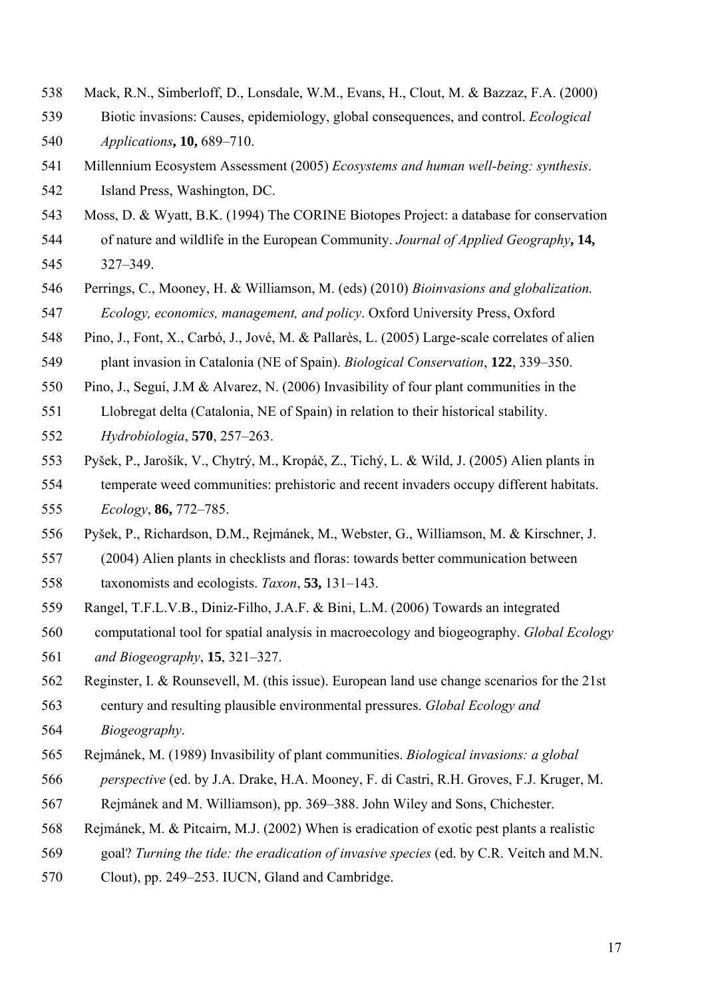- 538 Mack, R.N., Simberloff, D., Lonsdale, W.M., Evans, H., Clout, M. & Bazzaz, F.A. (2000)
- 539 Biotic invasions: Causes, epidemiology, global consequences, and control. *Ecological*  540 *Applications***, 10,** 689–710.
- 541 Millennium Ecosystem Assessment (2005) *Ecosystems and human well-being: synthesis*. 542 Island Press, Washington, DC.
- 543 Moss, D. & Wyatt, B.K. (1994) The CORINE Biotopes Project: a database for conservation 544 of nature and wildlife in the European Community. *Journal of Applied Geography***, 14,**
- 545 327–349.
- 546 Perrings, C., Mooney, H. & Williamson, M. (eds) (2010) *Bioinvasions and globalization.*  547 *Ecology, economics, management, and policy*. Oxford University Press, Oxford
- 548 Pino, J., Font, X., Carbó, J., Jové, M. & Pallarès, L. (2005) Large-scale correlates of alien 549 plant invasion in Catalonia (NE of Spain). *Biological Conservation*, **122**, 339–350.
- 550 Pino, J., Seguí, J.M & Alvarez, N. (2006) Invasibility of four plant communities in the
- 551 Llobregat delta (Catalonia, NE of Spain) in relation to their historical stability. 552 *Hydrobiologia*, **570**, 257–263.
- 553 Pyšek, P., Jarošík, V., Chytrý, M., Kropáč, Z., Tichý, L. & Wild, J. (2005) Alien plants in 554 temperate weed communities: prehistoric and recent invaders occupy different habitats. 555 *Ecology*, **86,** 772–785.
- 556 Pyšek, P., Richardson, D.M., Rejmánek, M., Webster, G., Williamson, M. & Kirschner, J.
- 557 (2004) Alien plants in checklists and floras: towards better communication between 558 taxonomists and ecologists. *Taxon*, **53,** 131–143.
- 559 Rangel, T.F.L.V.B., Diniz-Filho, J.A.F. & Bini, L.M. (2006) Towards an integrated
- 560 computational tool for spatial analysis in macroecology and biogeography. *Global Ecology*  561 *and Biogeography*, **15**, 321–327.
- 562 Reginster, I. & Rounsevell, M. (this issue). European land use change scenarios for the 21st
- 563 century and resulting plausible environmental pressures. *Global Ecology and*  564 *Biogeography*.
- 565 Rejmánek, M. (1989) Invasibility of plant communities. *Biological invasions: a global*  566 *perspective* (ed. by J.A. Drake, H.A. Mooney, F. di Castri, R.H. Groves, F.J. Kruger, M.
- 567 Rejmánek and M. Williamson), pp. 369–388. John Wiley and Sons, Chichester.
- 568 Rejmánek, M. & Pitcairn, M.J. (2002) When is eradication of exotic pest plants a realistic
- 569 goal? *Turning the tide: the eradication of invasive species* (ed. by C.R. Veitch and M.N.
- 570 Clout), pp. 249–253. IUCN, Gland and Cambridge.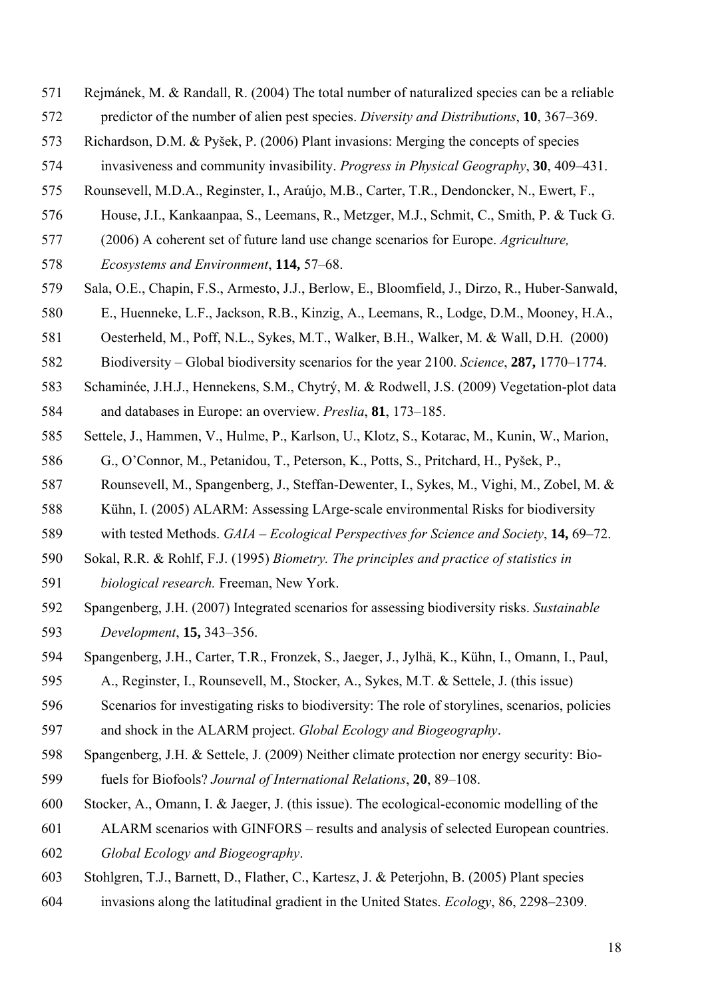- 571 Rejmánek, M. & Randall, R. (2004) The total number of naturalized species can be a reliable
- 572 predictor of the number of alien pest species. *Diversity and Distributions*, **10**, 367–369.
- 573 Richardson, D.M. & Pyšek, P. (2006) Plant invasions: Merging the concepts of species
- 574 invasiveness and community invasibility. *Progress in Physical Geography*, **30**, 409–431.
- 575 Rounsevell, M.D.A., Reginster, I., Araújo, M.B., Carter, T.R., Dendoncker, N., Ewert, F.,
- 576 House, J.I., Kankaanpaa, S., Leemans, R., Metzger, M.J., Schmit, C., Smith, P. & Tuck G.
- 577 (2006) A coherent set of future land use change scenarios for Europe. *Agriculture,*
- 578 *Ecosystems and Environment*, **114,** 57–68.
- 579 Sala, O.E., Chapin, F.S., Armesto, J.J., Berlow, E., Bloomfield, J., Dirzo, R., Huber-Sanwald,
- 580 E., Huenneke, L.F., Jackson, R.B., Kinzig, A., Leemans, R., Lodge, D.M., Mooney, H.A.,
- 581 Oesterheld, M., Poff, N.L., Sykes, M.T., Walker, B.H., Walker, M. & Wall, D.H. (2000)
- 582 Biodiversity Global biodiversity scenarios for the year 2100. *Science*, **287,** 1770–1774.
- 583 Schaminée, J.H.J., Hennekens, S.M., Chytrý, M. & Rodwell, J.S. (2009) Vegetation-plot data
- 584 and databases in Europe: an overview. *Preslia*, **81**, 173–185.
- 585 Settele, J., Hammen, V., Hulme, P., Karlson, U., Klotz, S., Kotarac, M., Kunin, W., Marion,
- 586 G., O'Connor, M., Petanidou, T., Peterson, K., Potts, S., Pritchard, H., Pyšek, P.,
- 587 Rounsevell, M., Spangenberg, J., Steffan-Dewenter, I., Sykes, M., Vighi, M., Zobel, M. &
- 588 Kühn, I. (2005) ALARM: Assessing LArge-scale environmental Risks for biodiversity
- 589 with tested Methods. *GAIA Ecological Perspectives for Science and Society*, **14,** 69–72.
- 590 Sokal, R.R. & Rohlf, F.J. (1995) *Biometry. The principles and practice of statistics in*
- 591 *biological research.* Freeman, New York.
- 592 Spangenberg, J.H. (2007) Integrated scenarios for assessing biodiversity risks. *Sustainable*  593 *Development*, **15,** 343–356.
- 594 Spangenberg, J.H., Carter, T.R., Fronzek, S., Jaeger, J., Jylhä, K., Kühn, I., Omann, I., Paul,
- 595 A., Reginster, I., Rounsevell, M., Stocker, A., Sykes, M.T. & Settele, J. (this issue)
- 596 Scenarios for investigating risks to biodiversity: The role of storylines, scenarios, policies
- 597 and shock in the ALARM project. *Global Ecology and Biogeography*.
- 598 Spangenberg, J.H. & Settele, J. (2009) Neither climate protection nor energy security: Bio-599 fuels for Biofools? *Journal of International Relations*, **20**, 89–108.
- 600 Stocker, A., Omann, I. & Jaeger, J. (this issue). The ecological-economic modelling of the
- 601 ALARM scenarios with GINFORS results and analysis of selected European countries.
- 602 *Global Ecology and Biogeography*.
- 603 Stohlgren, T.J., Barnett, D., Flather, C., Kartesz, J. & Peterjohn, B. (2005) Plant species
- 604 invasions along the latitudinal gradient in the United States. *Ecology*, 86, 2298–2309.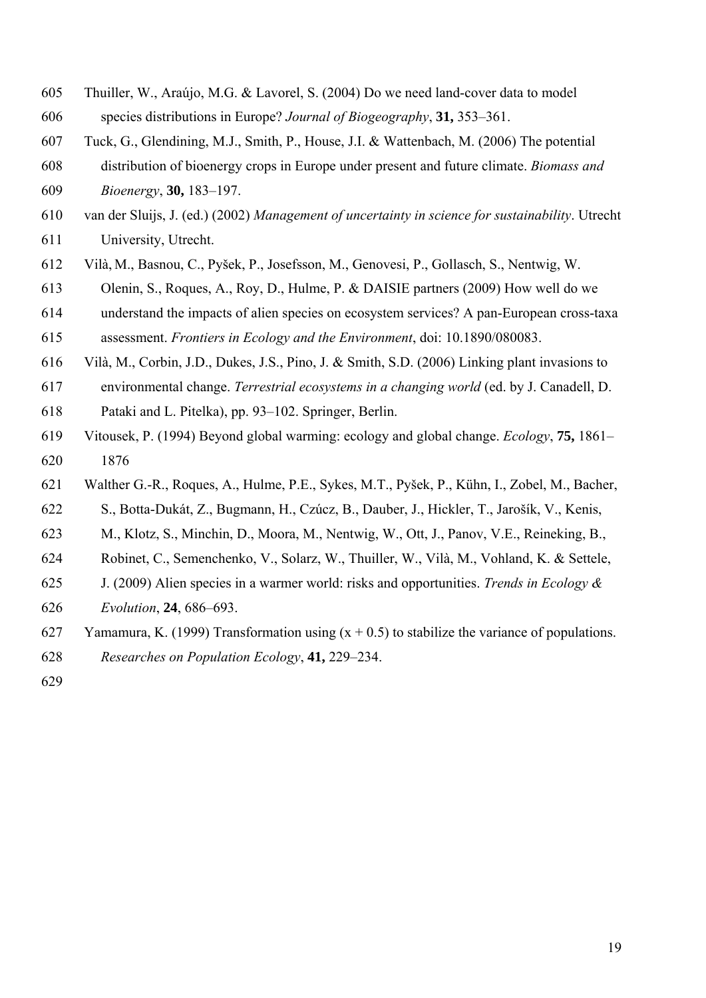- 605 Thuiller, W., Araújo, M.G. & Lavorel, S. (2004) Do we need land-cover data to model 606 species distributions in Europe? *Journal of Biogeography*, **31,** 353–361.
- 607 Tuck, G., Glendining, M.J., Smith, P., House, J.I. & Wattenbach, M. (2006) The potential
- 608 distribution of bioenergy crops in Europe under present and future climate. *Biomass and*  609 *Bioenergy*, **30,** 183–197.
- 610 van der Sluijs, J. (ed.) (2002) *Management of uncertainty in science for sustainability*. Utrecht 611 University, Utrecht.
- 612 Vilà, M., Basnou, C., Pyšek, P., Josefsson, M., Genovesi, P., Gollasch, S., Nentwig, W.
- 613 Olenin, S., Roques, A., Roy, D., Hulme, P. & DAISIE partners (2009) How well do we

614 understand the impacts of alien species on ecosystem services? A pan-European cross-taxa 615 assessment. *Frontiers in Ecology and the Environment*, doi: 10.1890/080083.

- 616 Vilà, M., Corbin, J.D., Dukes, J.S., Pino, J. & Smith, S.D. (2006) Linking plant invasions to
- 617 environmental change. *Terrestrial ecosystems in a changing world* (ed. by J. Canadell, D.
- 618 Pataki and L. Pitelka), pp. 93–102. Springer, Berlin.
- 619 Vitousek, P. (1994) Beyond global warming: ecology and global change. *Ecology*, **75,** 1861– 620 1876
- 621 Walther G.-R., Roques, A., Hulme, P.E., Sykes, M.T., Pyšek, P., Kühn, I., Zobel, M., Bacher, 622 S., Botta-Dukát, Z., Bugmann, H., Czúcz, B., Dauber, J., Hickler, T., Jarošík, V., Kenis,
- 623 M., Klotz, S., Minchin, D., Moora, M., Nentwig, W., Ott, J., Panov, V.E., Reineking, B.,
- 624 Robinet, C., Semenchenko, V., Solarz, W., Thuiller, W., Vilà, M., Vohland, K. & Settele,
- 625 J. (2009) Alien species in a warmer world: risks and opportunities. *Trends in Ecology &*
- 626 *Evolution*, **24**, 686–693.
- 627 Yamamura, K. (1999) Transformation using  $(x + 0.5)$  to stabilize the variance of populations.
- 628 *Researches on Population Ecology*, **41,** 229–234.
- 629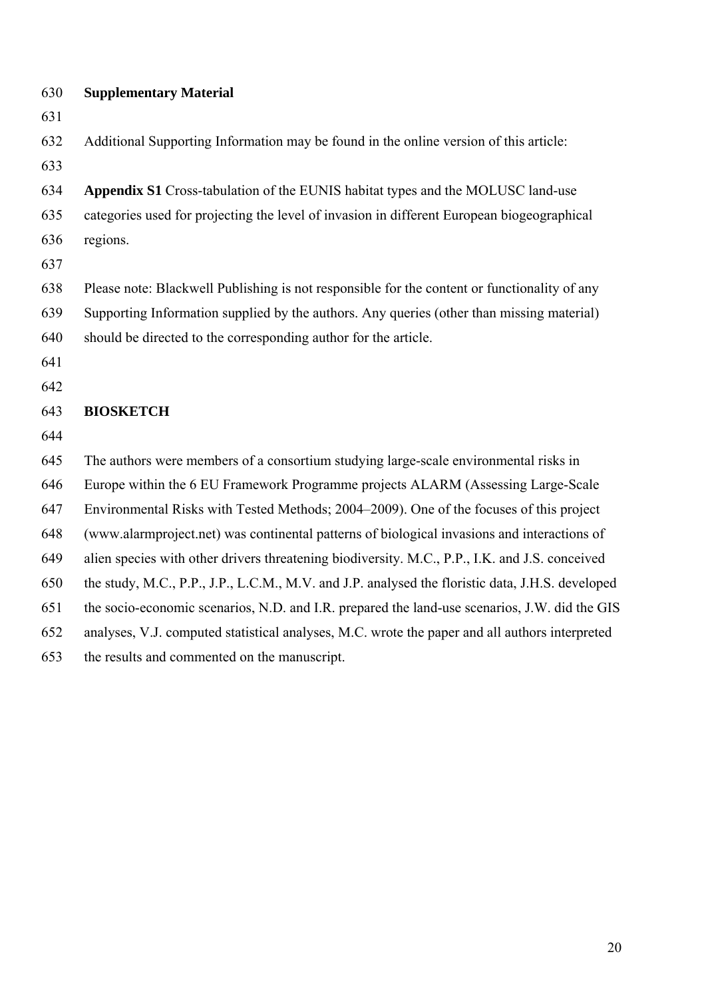| 630 | <b>Supplementary Material</b>                                                                    |
|-----|--------------------------------------------------------------------------------------------------|
| 631 |                                                                                                  |
| 632 | Additional Supporting Information may be found in the online version of this article:            |
| 633 |                                                                                                  |
| 634 | Appendix S1 Cross-tabulation of the EUNIS habitat types and the MOLUSC land-use                  |
| 635 | categories used for projecting the level of invasion in different European biogeographical       |
| 636 | regions.                                                                                         |
| 637 |                                                                                                  |
| 638 | Please note: Blackwell Publishing is not responsible for the content or functionality of any     |
| 639 | Supporting Information supplied by the authors. Any queries (other than missing material)        |
| 640 | should be directed to the corresponding author for the article.                                  |
| 641 |                                                                                                  |
| 642 |                                                                                                  |
| 643 | <b>BIOSKETCH</b>                                                                                 |
| 644 |                                                                                                  |
| 645 | The authors were members of a consortium studying large-scale environmental risks in             |
| 646 | Europe within the 6 EU Framework Programme projects ALARM (Assessing Large-Scale                 |
| 647 | Environmental Risks with Tested Methods; 2004-2009). One of the focuses of this project          |
| 648 | (www.alarmproject.net) was continental patterns of biological invasions and interactions of      |
| 649 | alien species with other drivers threatening biodiversity. M.C., P.P., I.K. and J.S. conceived   |
| 650 | the study, M.C., P.P., J.P., L.C.M., M.V. and J.P. analysed the floristic data, J.H.S. developed |
| 651 | the socio-economic scenarios, N.D. and I.R. prepared the land-use scenarios, J.W. did the GIS    |
| 652 | analyses, V.J. computed statistical analyses, M.C. wrote the paper and all authors interpreted   |
| 653 | the results and commented on the manuscript.                                                     |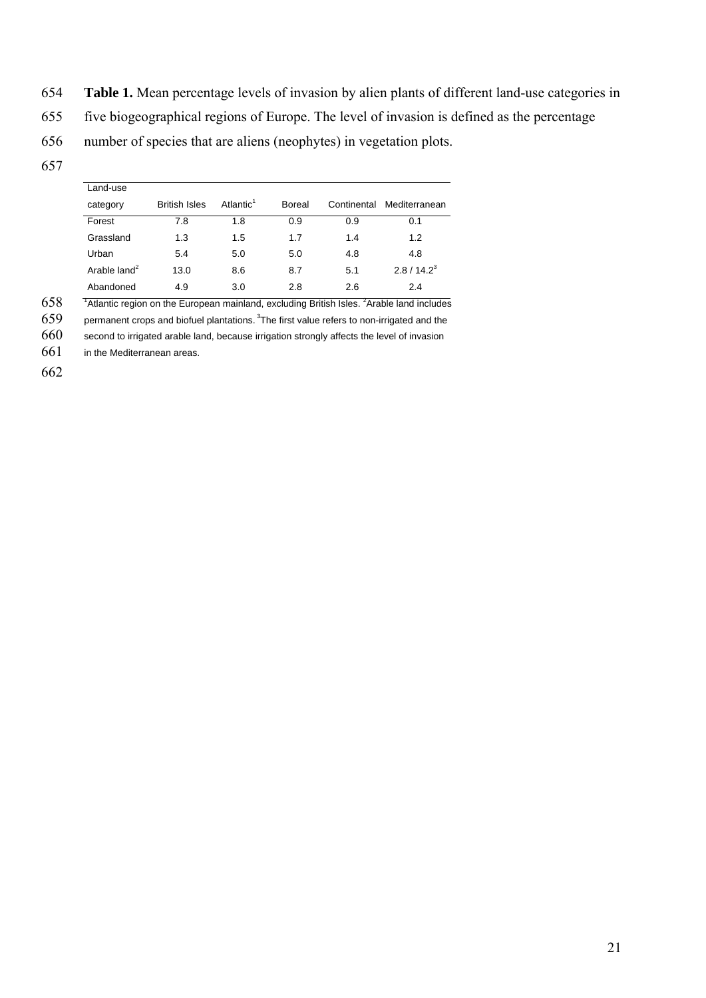- 654 **Table 1.** Mean percentage levels of invasion by alien plants of different land-use categories in
- 655 five biogeographical regions of Europe. The level of invasion is defined as the percentage
- 656 number of species that are aliens (neophytes) in vegetation plots.
- 657

| Land-use       |                      |                       |        |             |                |  |  |  |  |
|----------------|----------------------|-----------------------|--------|-------------|----------------|--|--|--|--|
| category       | <b>British Isles</b> | Atlantic <sup>1</sup> | Boreal | Continental | Mediterranean  |  |  |  |  |
| Forest         | 7.8                  | 1.8                   | 0.9    | 0.9         | 0.1            |  |  |  |  |
| Grassland      | 1.3                  | 1.5                   | 1.7    | 1.4         | 1.2            |  |  |  |  |
| Urban          | 5.4                  | 5.0                   | 5.0    | 4.8         | 4.8            |  |  |  |  |
| Arable $land2$ | 13.0                 | 8.6                   | 8.7    | 5.1         | $2.8 / 14.2^3$ |  |  |  |  |
| Abandoned      | 4.9                  | 3.0                   | 2.8    | 2.6         | 2.4            |  |  |  |  |

 $658$  Tatlantic region on the European mainland, excluding British Isles. <sup>2</sup> Arable land includes

 $659$  permanent crops and biofuel plantations.<sup>3</sup> The first value refers to non-irrigated and the

 $660$  second to irrigated arable land, because irrigation strongly affects the level of invasion

661 in the Mediterranean areas.

662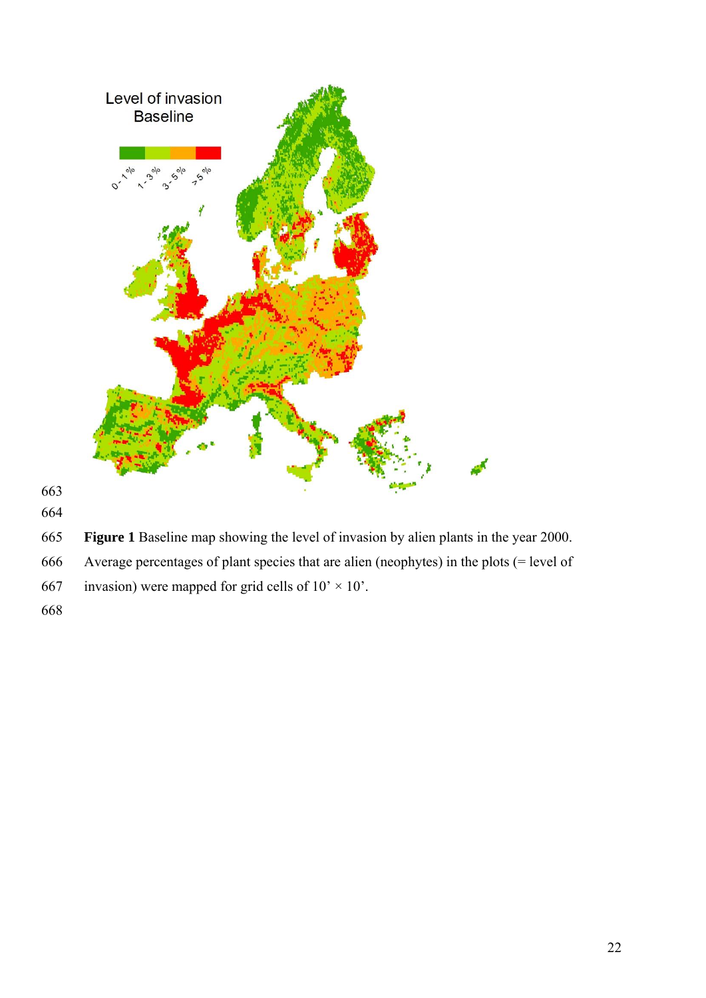

- 
- **Figure 1** Baseline map showing the level of invasion by alien plants in the year 2000.
- 666 Average percentages of plant species that are alien (neophytes) in the plots (= level of
- 667 invasion) were mapped for grid cells of  $10' \times 10'$ .
-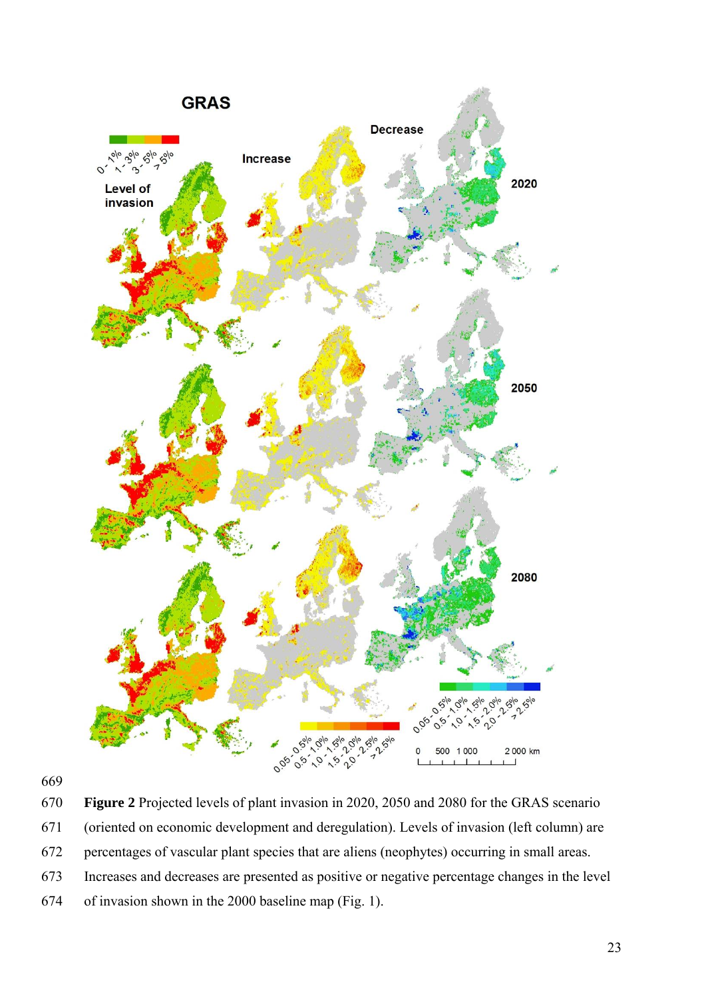



670 **Figure 2** Projected levels of plant invasion in 2020, 2050 and 2080 for the GRAS scenario

- 671 (oriented on economic development and deregulation). Levels of invasion (left column) are
- 672 percentages of vascular plant species that are aliens (neophytes) occurring in small areas.
- 673 Increases and decreases are presented as positive or negative percentage changes in the level
- 674 of invasion shown in the 2000 baseline map (Fig. 1).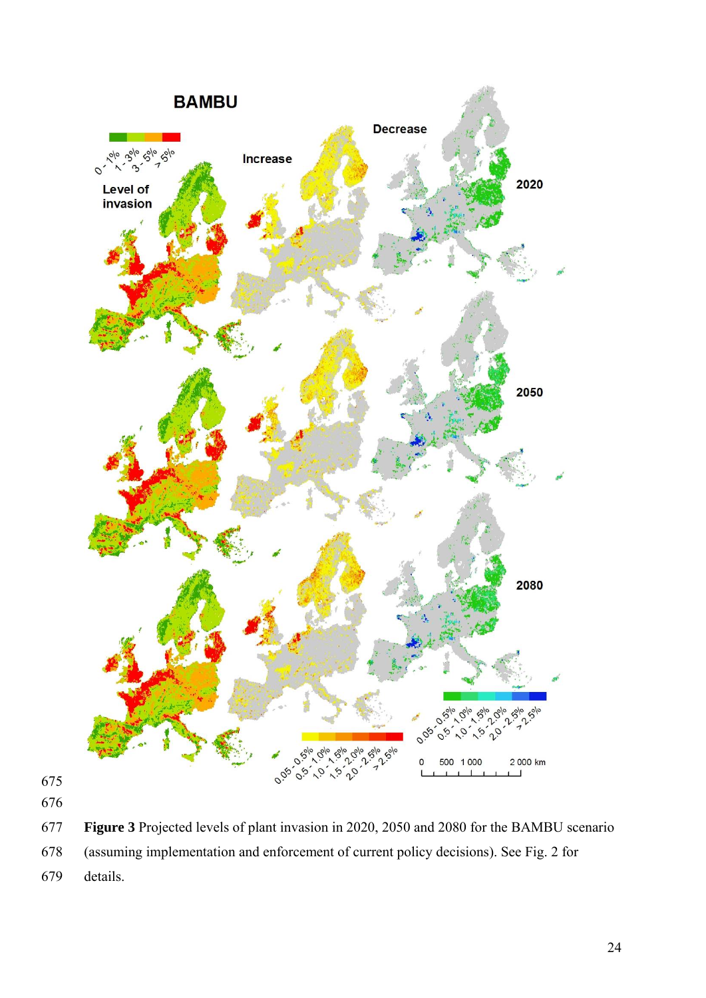

- 
- 
- **Figure 3** Projected levels of plant invasion in 2020, 2050 and 2080 for the BAMBU scenario
- 678 (assuming implementation and enforcement of current policy decisions). See Fig. 2 for
- 679 details.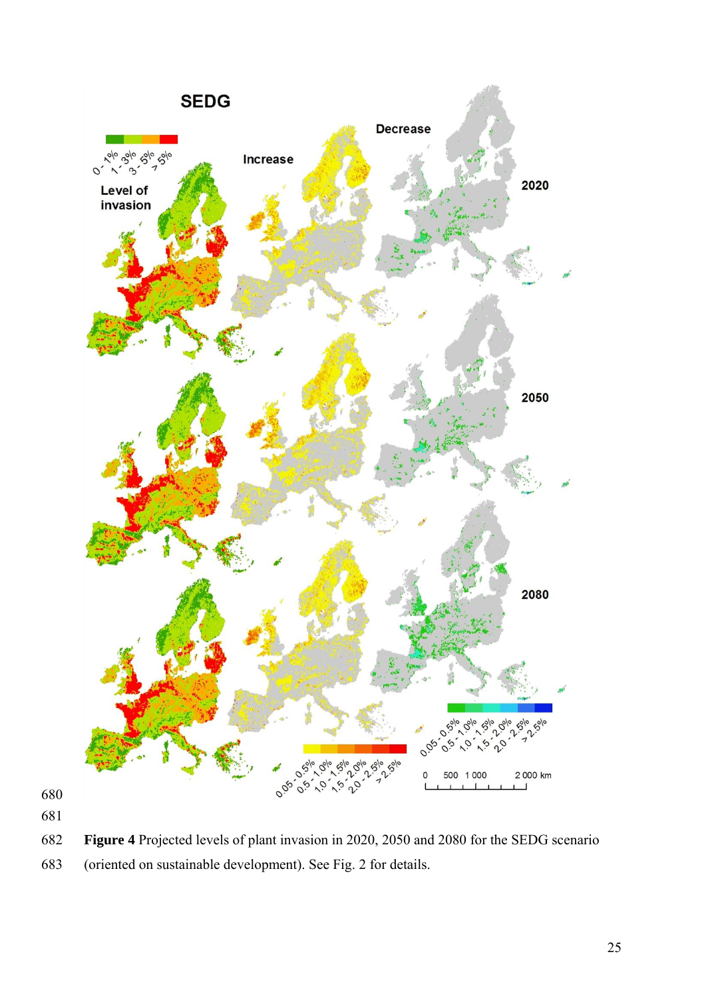

**Figure 4** Projected levels of plant invasion in 2020, 2050 and 2080 for the SEDG scenario

683 (oriented on sustainable development). See Fig. 2 for details.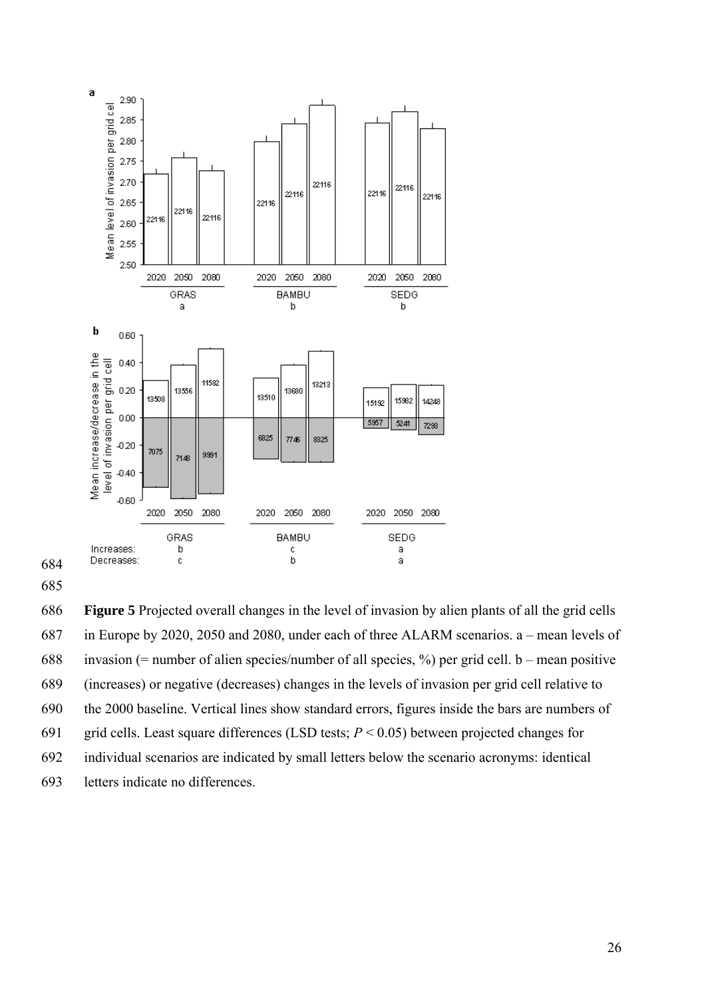

685

686 **Figure 5** Projected overall changes in the level of invasion by alien plants of all the grid cells 687 in Europe by 2020, 2050 and 2080, under each of three ALARM scenarios. a – mean levels of 688 invasion (= number of alien species/number of all species, %) per grid cell. b – mean positive 689 (increases) or negative (decreases) changes in the levels of invasion per grid cell relative to 690 the 2000 baseline. Vertical lines show standard errors, figures inside the bars are numbers of 691 grid cells. Least square differences (LSD tests;  $P < 0.05$ ) between projected changes for 692 individual scenarios are indicated by small letters below the scenario acronyms: identical 693 letters indicate no differences.